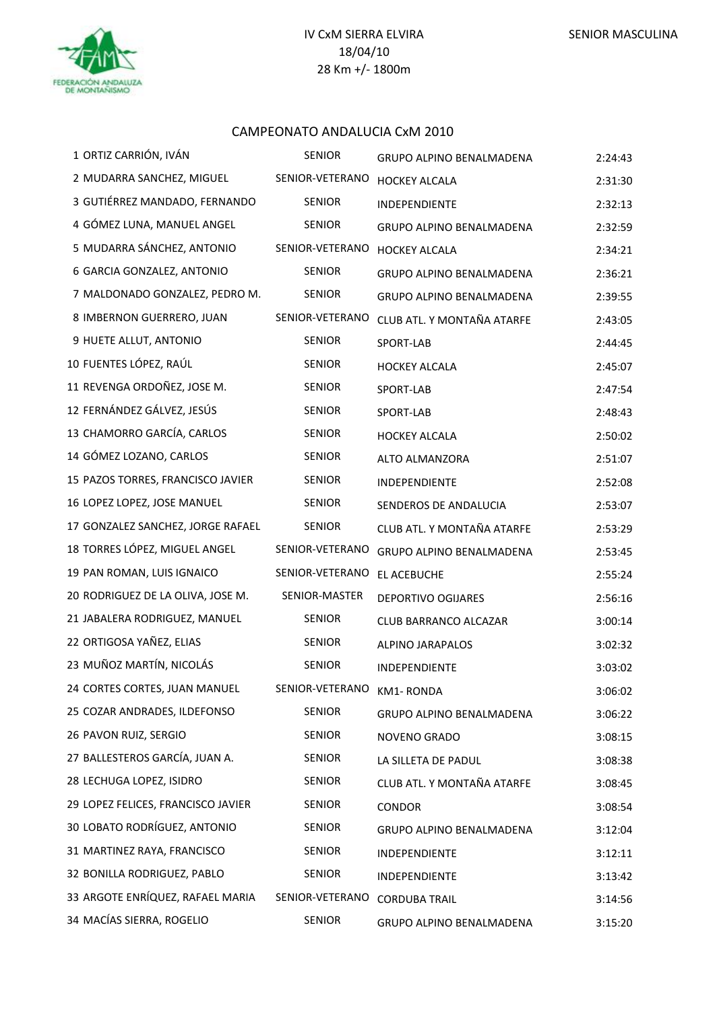#### CAMPEONATO ANDALUCIA CxM 2010

| 1 ORTIZ CARRIÓN, IVÁN              | <b>SENIOR</b>             | GRUPO ALPINO BENALMADENA        | 2:24:43 |
|------------------------------------|---------------------------|---------------------------------|---------|
| 2 MUDARRA SANCHEZ, MIGUEL          | SENIOR-VETERANO           | <b>HOCKEY ALCALA</b>            | 2:31:30 |
| 3 GUTIÉRREZ MANDADO, FERNANDO      | <b>SENIOR</b>             | INDEPENDIENTE                   | 2:32:13 |
| 4 GÓMEZ LUNA, MANUEL ANGEL         | <b>SENIOR</b>             | <b>GRUPO ALPINO BENALMADENA</b> | 2:32:59 |
| 5 MUDARRA SÁNCHEZ, ANTONIO         | SENIOR-VETERANO           | <b>HOCKEY ALCALA</b>            | 2:34:21 |
| 6 GARCIA GONZALEZ, ANTONIO         | <b>SENIOR</b>             | GRUPO ALPINO BENALMADENA        | 2:36:21 |
| 7 MALDONADO GONZALEZ, PEDRO M.     | <b>SENIOR</b>             | GRUPO ALPINO BENALMADENA        | 2:39:55 |
| 8 IMBERNON GUERRERO, JUAN          | SENIOR-VETERANO           | CLUB ATL. Y MONTAÑA ATARFE      | 2:43:05 |
| 9 HUETE ALLUT, ANTONIO             | <b>SENIOR</b>             | SPORT-LAB                       | 2:44:45 |
| 10 FUENTES LÓPEZ, RAÚL             | SENIOR                    | <b>HOCKEY ALCALA</b>            | 2:45:07 |
| 11 REVENGA ORDOÑEZ, JOSE M.        | <b>SENIOR</b>             | SPORT-LAB                       | 2:47:54 |
| 12 FERNÁNDEZ GÁLVEZ, JESÚS         | <b>SENIOR</b>             | SPORT-LAB                       | 2:48:43 |
| 13 CHAMORRO GARCÍA, CARLOS         | <b>SENIOR</b>             | <b>HOCKEY ALCALA</b>            | 2:50:02 |
| 14 GÓMEZ LOZANO, CARLOS            | SENIOR                    | ALTO ALMANZORA                  | 2:51:07 |
| 15 PAZOS TORRES, FRANCISCO JAVIER  | <b>SENIOR</b>             | INDEPENDIENTE                   | 2:52:08 |
| 16 LOPEZ LOPEZ, JOSE MANUEL        | <b>SENIOR</b>             | SENDEROS DE ANDALUCIA           | 2:53:07 |
| 17 GONZALEZ SANCHEZ, JORGE RAFAEL  | <b>SENIOR</b>             | CLUB ATL. Y MONTAÑA ATARFE      | 2:53:29 |
| 18 TORRES LÓPEZ, MIGUEL ANGEL      | SENIOR-VETERANO           | GRUPO ALPINO BENALMADENA        | 2:53:45 |
| 19 PAN ROMAN, LUIS IGNAICO         | SENIOR-VETERANO           | EL ACEBUCHE                     | 2:55:24 |
| 20 RODRIGUEZ DE LA OLIVA, JOSE M.  | SENIOR-MASTER             | <b>DEPORTIVO OGIJARES</b>       | 2:56:16 |
| 21 JABALERA RODRIGUEZ, MANUEL      | <b>SENIOR</b>             | CLUB BARRANCO ALCAZAR           | 3:00:14 |
| 22 ORTIGOSA YAÑEZ, ELIAS           | <b>SENIOR</b>             | ALPINO JARAPALOS                | 3:02:32 |
| 23 MUÑOZ MARTÍN, NICOLÁS           | <b>SENIOR</b>             | INDEPENDIENTE                   | 3:03:02 |
| 24 CORTES CORTES, JUAN MANUEL      | SENIOR-VETERANO KM1-RONDA |                                 | 3:06:02 |
| 25 COZAR ANDRADES, ILDEFONSO       | <b>SENIOR</b>             | <b>GRUPO ALPINO BENALMADENA</b> | 3:06:22 |
| 26 PAVON RUIZ, SERGIO              | <b>SENIOR</b>             | NOVENO GRADO                    | 3:08:15 |
| 27 BALLESTEROS GARCÍA, JUAN A.     | <b>SENIOR</b>             | LA SILLETA DE PADUL             | 3:08:38 |
| 28 LECHUGA LOPEZ, ISIDRO           | <b>SENIOR</b>             | CLUB ATL. Y MONTAÑA ATARFE      | 3:08:45 |
| 29 LOPEZ FELICES, FRANCISCO JAVIER | <b>SENIOR</b>             | <b>CONDOR</b>                   | 3:08:54 |
| 30 LOBATO RODRÍGUEZ, ANTONIO       | <b>SENIOR</b>             | GRUPO ALPINO BENALMADENA        | 3:12:04 |
| 31 MARTINEZ RAYA, FRANCISCO        | <b>SENIOR</b>             | <b>INDEPENDIENTE</b>            | 3:12:11 |
| 32 BONILLA RODRIGUEZ, PABLO        | <b>SENIOR</b>             | INDEPENDIENTE                   | 3:13:42 |
| 33 ARGOTE ENRÍQUEZ, RAFAEL MARIA   | SENIOR-VETERANO           | <b>CORDUBA TRAIL</b>            | 3:14:56 |
| 34 MACÍAS SIERRA, ROGELIO          | <b>SENIOR</b>             | <b>GRUPO ALPINO BENALMADENA</b> | 3:15:20 |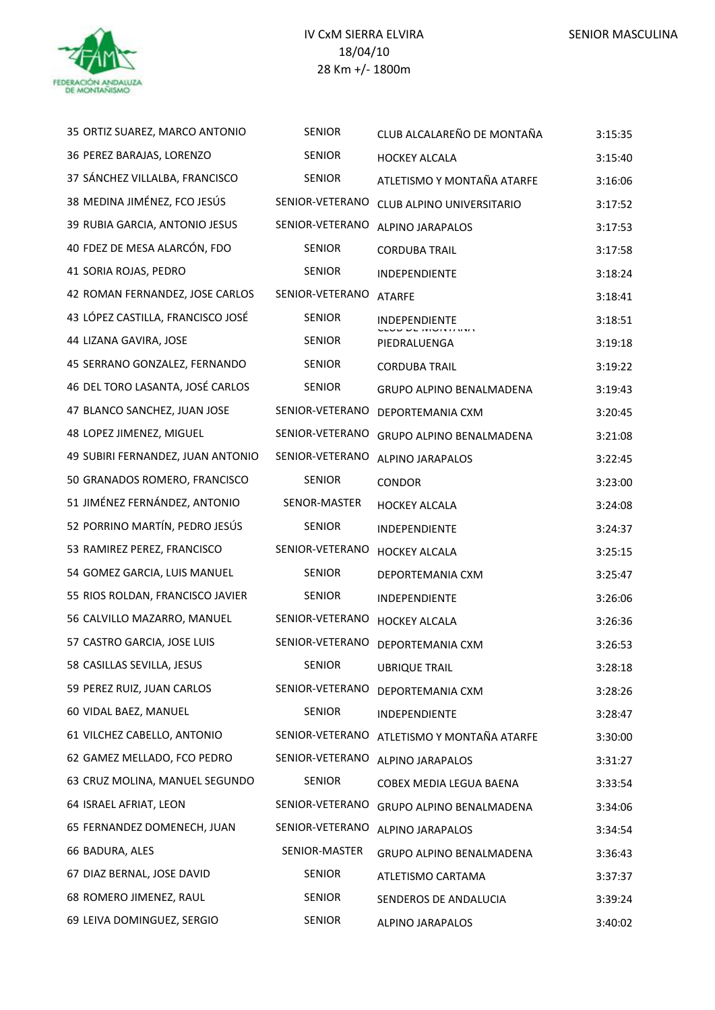

| 35 ORTIZ SUAREZ, MARCO ANTONIO    | <b>SENIOR</b>   | CLUB ALCALAREÑO DE MONTAÑA | 3:15:35 |
|-----------------------------------|-----------------|----------------------------|---------|
| 36 PEREZ BARAJAS, LORENZO         | <b>SENIOR</b>   | <b>HOCKEY ALCALA</b>       | 3:15:40 |
| 37 SÁNCHEZ VILLALBA, FRANCISCO    | <b>SENIOR</b>   | ATLETISMO Y MONTAÑA ATARFE | 3:16:06 |
| 38 MEDINA JIMÉNEZ, FCO JESÚS      | SENIOR-VETERANO | CLUB ALPINO UNIVERSITARIO  | 3:17:52 |
| 39 RUBIA GARCIA, ANTONIO JESUS    | SENIOR-VETERANO | ALPINO JARAPALOS           | 3:17:53 |
| 40 FDEZ DE MESA ALARCÓN, FDO      | <b>SENIOR</b>   | <b>CORDUBA TRAIL</b>       | 3:17:58 |
| 41 SORIA ROJAS, PEDRO             | <b>SENIOR</b>   | <b>INDEPENDIENTE</b>       | 3:18:24 |
| 42 ROMAN FERNANDEZ, JOSE CARLOS   | SENIOR-VETERANO | <b>ATARFE</b>              | 3:18:41 |
| 43 LÓPEZ CASTILLA, FRANCISCO JOSÉ | <b>SENIOR</b>   | INDEPENDIENTE              | 3:18:51 |
| 44 LIZANA GAVIRA, JOSE            | <b>SENIOR</b>   | PIEDRALUENGA               | 3:19:18 |
| 45 SERRANO GONZALEZ, FERNANDO     | <b>SENIOR</b>   | <b>CORDUBA TRAIL</b>       | 3:19:22 |
| 46 DEL TORO LASANTA, JOSÉ CARLOS  | <b>SENIOR</b>   | GRUPO ALPINO BENALMADENA   | 3:19:43 |
| 47 BLANCO SANCHEZ, JUAN JOSE      | SENIOR-VETERANO | DEPORTEMANIA CXM           | 3:20:45 |
| 48 LOPEZ JIMENEZ, MIGUEL          | SENIOR-VETERANO | GRUPO ALPINO BENALMADENA   | 3:21:08 |
| 49 SUBIRI FERNANDEZ, JUAN ANTONIO | SENIOR-VETERANO | <b>ALPINO JARAPALOS</b>    | 3:22:45 |
| 50 GRANADOS ROMERO, FRANCISCO     | <b>SENIOR</b>   | <b>CONDOR</b>              | 3:23:00 |
| 51 JIMÉNEZ FERNÁNDEZ, ANTONIO     | SENOR-MASTER    | <b>HOCKEY ALCALA</b>       | 3:24:08 |
| 52 PORRINO MARTÍN, PEDRO JESÚS    | <b>SENIOR</b>   | <b>INDEPENDIENTE</b>       | 3:24:37 |
| 53 RAMIREZ PEREZ, FRANCISCO       | SENIOR-VETERANO | <b>HOCKEY ALCALA</b>       | 3:25:15 |
| 54 GOMEZ GARCIA, LUIS MANUEL      | <b>SENIOR</b>   | DEPORTEMANIA CXM           | 3:25:47 |
| 55 RIOS ROLDAN, FRANCISCO JAVIER  | <b>SENIOR</b>   | INDEPENDIENTE              | 3:26:06 |
| 56 CALVILLO MAZARRO, MANUEL       | SENIOR-VETERANO | <b>HOCKEY ALCALA</b>       | 3:26:36 |
| 57 CASTRO GARCIA, JOSE LUIS       | SENIOR-VETERANO | DEPORTEMANIA CXM           | 3:26:53 |
| 58 CASILLAS SEVILLA, JESUS        | <b>SENIOR</b>   | <b>UBRIQUE TRAIL</b>       | 3:28:18 |
| 59 PEREZ RUIZ, JUAN CARLOS        | SENIOR-VETERANO | DEPORTEMANIA CXM           | 3:28:26 |
| 60 VIDAL BAEZ, MANUEL             | <b>SENIOR</b>   | INDEPENDIENTE              | 3:28:47 |
| 61 VILCHEZ CABELLO, ANTONIO       | SENIOR-VETERANO | ATLETISMO Y MONTAÑA ATARFE | 3:30:00 |
| 62 GAMEZ MELLADO, FCO PEDRO       | SENIOR-VETERANO | ALPINO JARAPALOS           | 3:31:27 |
| 63 CRUZ MOLINA, MANUEL SEGUNDO    | <b>SENIOR</b>   | COBEX MEDIA LEGUA BAENA    | 3:33:54 |
| 64 ISRAEL AFRIAT, LEON            | SENIOR-VETERANO | GRUPO ALPINO BENALMADENA   | 3:34:06 |
| 65 FERNANDEZ DOMENECH, JUAN       | SENIOR-VETERANO | ALPINO JARAPALOS           | 3:34:54 |
| 66 BADURA, ALES                   | SENIOR-MASTER   | GRUPO ALPINO BENALMADENA   | 3:36:43 |
| 67 DIAZ BERNAL, JOSE DAVID        | <b>SENIOR</b>   | ATLETISMO CARTAMA          | 3:37:37 |
| 68 ROMERO JIMENEZ, RAUL           | <b>SENIOR</b>   | SENDEROS DE ANDALUCIA      | 3:39:24 |
| 69 LEIVA DOMINGUEZ, SERGIO        | SENIOR          | ALPINO JARAPALOS           | 3:40:02 |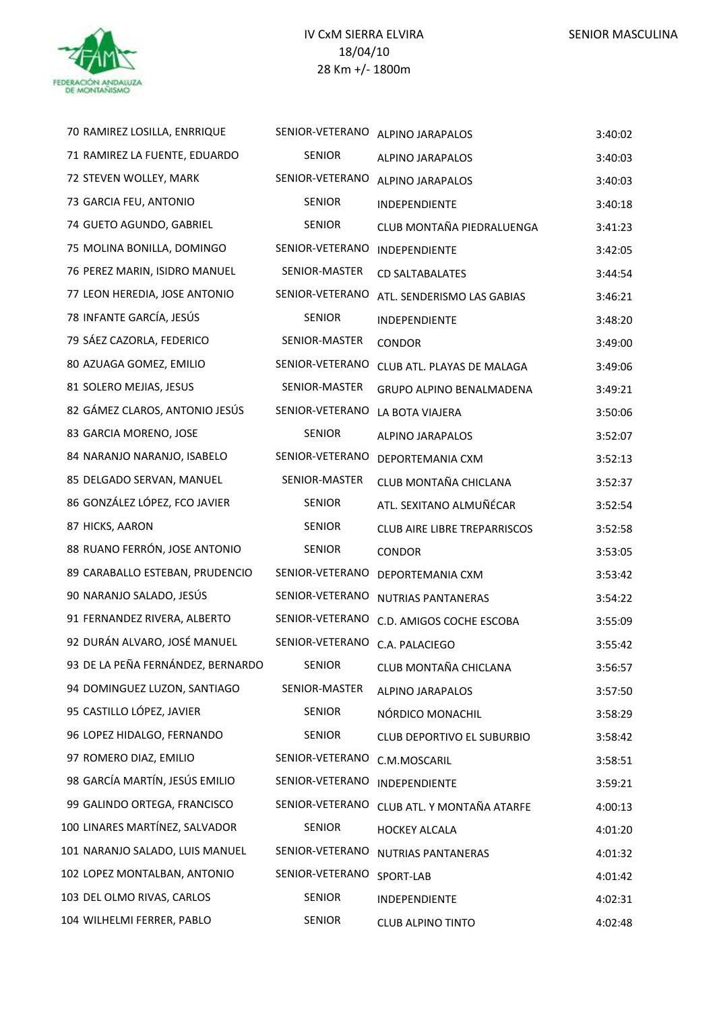| 70 RAMIREZ LOSILLA, ENRRIQUE      | SENIOR-VETERANO | <b>ALPINO JARAPALOS</b>             | 3:40:02 |
|-----------------------------------|-----------------|-------------------------------------|---------|
| 71 RAMIREZ LA FUENTE, EDUARDO     | <b>SENIOR</b>   | ALPINO JARAPALOS                    | 3:40:03 |
| 72 STEVEN WOLLEY, MARK            | SENIOR-VETERANO | ALPINO JARAPALOS                    | 3:40:03 |
| 73 GARCIA FEU, ANTONIO            | SENIOR          | INDEPENDIENTE                       | 3:40:18 |
| 74 GUETO AGUNDO, GABRIEL          | <b>SENIOR</b>   | CLUB MONTAÑA PIEDRALUENGA           | 3:41:23 |
| 75 MOLINA BONILLA, DOMINGO        | SENIOR-VETERANO | INDEPENDIENTE                       | 3:42:05 |
| 76 PEREZ MARIN, ISIDRO MANUEL     | SENIOR-MASTER   | <b>CD SALTABALATES</b>              | 3:44:54 |
| 77 LEON HEREDIA, JOSE ANTONIO     | SENIOR-VETERANO | ATL. SENDERISMO LAS GABIAS          | 3:46:21 |
| 78 INFANTE GARCÍA, JESÚS          | <b>SENIOR</b>   | INDEPENDIENTE                       | 3:48:20 |
| 79 SÁEZ CAZORLA, FEDERICO         | SENIOR-MASTER   | <b>CONDOR</b>                       | 3:49:00 |
| 80 AZUAGA GOMEZ, EMILIO           | SENIOR-VETERANO | CLUB ATL. PLAYAS DE MALAGA          | 3:49:06 |
| 81 SOLERO MEJIAS, JESUS           | SENIOR-MASTER   | GRUPO ALPINO BENALMADENA            | 3:49:21 |
| 82 GÁMEZ CLAROS, ANTONIO JESÚS    | SENIOR-VETERANO | LA BOTA VIAJERA                     | 3:50:06 |
| 83 GARCIA MORENO, JOSE            | <b>SENIOR</b>   | ALPINO JARAPALOS                    | 3:52:07 |
| 84 NARANJO NARANJO, ISABELO       | SENIOR-VETERANO | DEPORTEMANIA CXM                    | 3:52:13 |
| 85 DELGADO SERVAN, MANUEL         | SENIOR-MASTER   | CLUB MONTAÑA CHICLANA               | 3:52:37 |
| 86 GONZÁLEZ LÓPEZ, FCO JAVIER     | SENIOR          | ATL. SEXITANO ALMUÑÉCAR             | 3:52:54 |
| 87 HICKS, AARON                   | <b>SENIOR</b>   | <b>CLUB AIRE LIBRE TREPARRISCOS</b> | 3:52:58 |
| 88 RUANO FERRÓN, JOSE ANTONIO     | <b>SENIOR</b>   | <b>CONDOR</b>                       | 3:53:05 |
| 89 CARABALLO ESTEBAN, PRUDENCIO   | SENIOR-VETERANO | DEPORTEMANIA CXM                    | 3:53:42 |
| 90 NARANJO SALADO, JESÚS          | SENIOR-VETERANO | NUTRIAS PANTANERAS                  | 3:54:22 |
| 91 FERNANDEZ RIVERA, ALBERTO      | SENIOR-VETERANO | C.D. AMIGOS COCHE ESCOBA            | 3:55:09 |
| 92 DURÁN ALVARO, JOSÉ MANUEL      | SENIOR-VETERANO | C.A. PALACIEGO                      | 3:55:42 |
| 93 DE LA PEÑA FERNÁNDEZ, BERNARDO | <b>SENIOR</b>   | CLUB MONTAÑA CHICLANA               | 3:56:57 |
| 94 DOMINGUEZ LUZON, SANTIAGO      | SENIOR-MASTER   | <b>ALPINO JARAPALOS</b>             | 3:57:50 |
| 95 CASTILLO LÓPEZ, JAVIER         | SENIOR          | NÓRDICO MONACHIL                    | 3:58:29 |
| 96 LOPEZ HIDALGO, FERNANDO        | <b>SENIOR</b>   | <b>CLUB DEPORTIVO EL SUBURBIO</b>   | 3:58:42 |
| 97 ROMERO DIAZ, EMILIO            | SENIOR-VETERANO | C.M.MOSCARIL                        | 3:58:51 |
| 98 GARCÍA MARTÍN, JESÚS EMILIO    | SENIOR-VETERANO | INDEPENDIENTE                       | 3:59:21 |
| 99 GALINDO ORTEGA, FRANCISCO      | SENIOR-VETERANO | CLUB ATL. Y MONTAÑA ATARFE          | 4:00:13 |
| 100 LINARES MARTÍNEZ, SALVADOR    | <b>SENIOR</b>   | <b>HOCKEY ALCALA</b>                | 4:01:20 |
| 101 NARANJO SALADO, LUIS MANUEL   | SENIOR-VETERANO | NUTRIAS PANTANERAS                  | 4:01:32 |
| 102 LOPEZ MONTALBAN, ANTONIO      | SENIOR-VETERANO | SPORT-LAB                           | 4:01:42 |
| 103 DEL OLMO RIVAS, CARLOS        | <b>SENIOR</b>   | INDEPENDIENTE                       | 4:02:31 |
| 104 WILHELMI FERRER, PABLO        | SENIOR          | <b>CLUB ALPINO TINTO</b>            | 4:02:48 |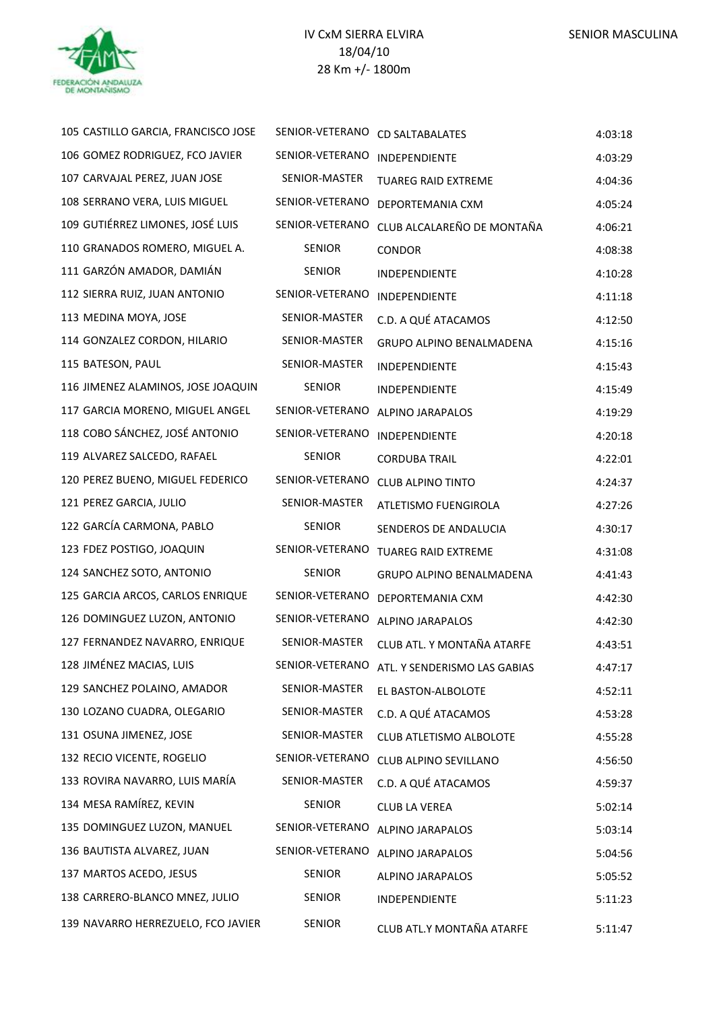

| 105 CASTILLO GARCIA, FRANCISCO JOSE | SENIOR-VETERANO      | <b>CD SALTABALATES</b>       | 4:03:18 |
|-------------------------------------|----------------------|------------------------------|---------|
| 106 GOMEZ RODRIGUEZ, FCO JAVIER     | SENIOR-VETERANO      | INDEPENDIENTE                | 4:03:29 |
| 107 CARVAJAL PEREZ, JUAN JOSE       | SENIOR-MASTER        | <b>TUAREG RAID EXTREME</b>   | 4:04:36 |
| 108 SERRANO VERA, LUIS MIGUEL       | SENIOR-VETERANO      | DEPORTEMANIA CXM             | 4:05:24 |
| 109 GUTIÉRREZ LIMONES, JOSÉ LUIS    | SENIOR-VETERANO      | CLUB ALCALAREÑO DE MONTAÑA   | 4:06:21 |
| 110 GRANADOS ROMERO, MIGUEL A.      | <b>SENIOR</b>        | <b>CONDOR</b>                | 4:08:38 |
| 111 GARZÓN AMADOR, DAMIÁN           | <b>SENIOR</b>        | INDEPENDIENTE                | 4:10:28 |
| 112 SIERRA RUIZ, JUAN ANTONIO       | SENIOR-VETERANO      | INDEPENDIENTE                | 4:11:18 |
| 113 MEDINA MOYA, JOSE               | SENIOR-MASTER        | C.D. A QUÉ ATACAMOS          | 4:12:50 |
| 114 GONZALEZ CORDON, HILARIO        | SENIOR-MASTER        | GRUPO ALPINO BENALMADENA     | 4:15:16 |
| 115 BATESON, PAUL                   | <b>SENIOR-MASTER</b> | INDEPENDIENTE                | 4:15:43 |
| 116 JIMENEZ ALAMINOS, JOSE JOAQUIN  | <b>SENIOR</b>        | INDEPENDIENTE                | 4:15:49 |
| 117 GARCIA MORENO, MIGUEL ANGEL     | SENIOR-VETERANO      | ALPINO JARAPALOS             | 4:19:29 |
| 118 COBO SÁNCHEZ, JOSÉ ANTONIO      | SENIOR-VETERANO      | INDEPENDIENTE                | 4:20:18 |
| 119 ALVAREZ SALCEDO, RAFAEL         | <b>SENIOR</b>        | <b>CORDUBA TRAIL</b>         | 4:22:01 |
| 120 PEREZ BUENO, MIGUEL FEDERICO    | SENIOR-VETERANO      | <b>CLUB ALPINO TINTO</b>     | 4:24:37 |
| 121 PEREZ GARCIA, JULIO             | SENIOR-MASTER        | ATLETISMO FUENGIROLA         | 4:27:26 |
| 122 GARCÍA CARMONA, PABLO           | <b>SENIOR</b>        | SENDEROS DE ANDALUCIA        | 4:30:17 |
| 123 FDEZ POSTIGO, JOAQUIN           | SENIOR-VETERANO      | <b>TUAREG RAID EXTREME</b>   | 4:31:08 |
| 124 SANCHEZ SOTO, ANTONIO           | <b>SENIOR</b>        | GRUPO ALPINO BENALMADENA     | 4:41:43 |
| 125 GARCIA ARCOS, CARLOS ENRIQUE    | SENIOR-VETERANO      | DEPORTEMANIA CXM             | 4:42:30 |
| 126 DOMINGUEZ LUZON, ANTONIO        | SENIOR-VETERANO      | <b>ALPINO JARAPALOS</b>      | 4:42:30 |
| 127 FERNANDEZ NAVARRO, ENRIQUE      | SENIOR-MASTER        | CLUB ATL. Y MONTAÑA ATARFE   | 4:43:51 |
| 128 JIMÉNEZ MACIAS, LUIS            | SENIOR-VETERANO      | ATL. Y SENDERISMO LAS GABIAS | 4:47:17 |
| 129 SANCHEZ POLAINO, AMADOR         | SENIOR-MASTER        | EL BASTON-ALBOLOTE           | 4:52:11 |
| 130 LOZANO CUADRA, OLEGARIO         | SENIOR-MASTER        | C.D. A QUÉ ATACAMOS          | 4:53:28 |
| 131 OSUNA JIMENEZ, JOSE             | SENIOR-MASTER        | CLUB ATLETISMO ALBOLOTE      | 4:55:28 |
| 132 RECIO VICENTE, ROGELIO          | SENIOR-VETERANO      | CLUB ALPINO SEVILLANO        | 4:56:50 |
| 133 ROVIRA NAVARRO, LUIS MARÍA      | SENIOR-MASTER        | C.D. A QUÉ ATACAMOS          | 4:59:37 |
| 134 MESA RAMÍREZ, KEVIN             | <b>SENIOR</b>        | <b>CLUB LA VEREA</b>         | 5:02:14 |
| 135 DOMINGUEZ LUZON, MANUEL         | SENIOR-VETERANO      | ALPINO JARAPALOS             | 5:03:14 |
| 136 BAUTISTA ALVAREZ, JUAN          | SENIOR-VETERANO      | ALPINO JARAPALOS             | 5:04:56 |
| 137 MARTOS ACEDO, JESUS             | <b>SENIOR</b>        | ALPINO JARAPALOS             | 5:05:52 |
| 138 CARRERO-BLANCO MNEZ, JULIO      | <b>SENIOR</b>        | INDEPENDIENTE                | 5:11:23 |
| 139 NAVARRO HERREZUELO, FCO JAVIER  | SENIOR               | CLUB ATL.Y MONTAÑA ATARFE    | 5:11:47 |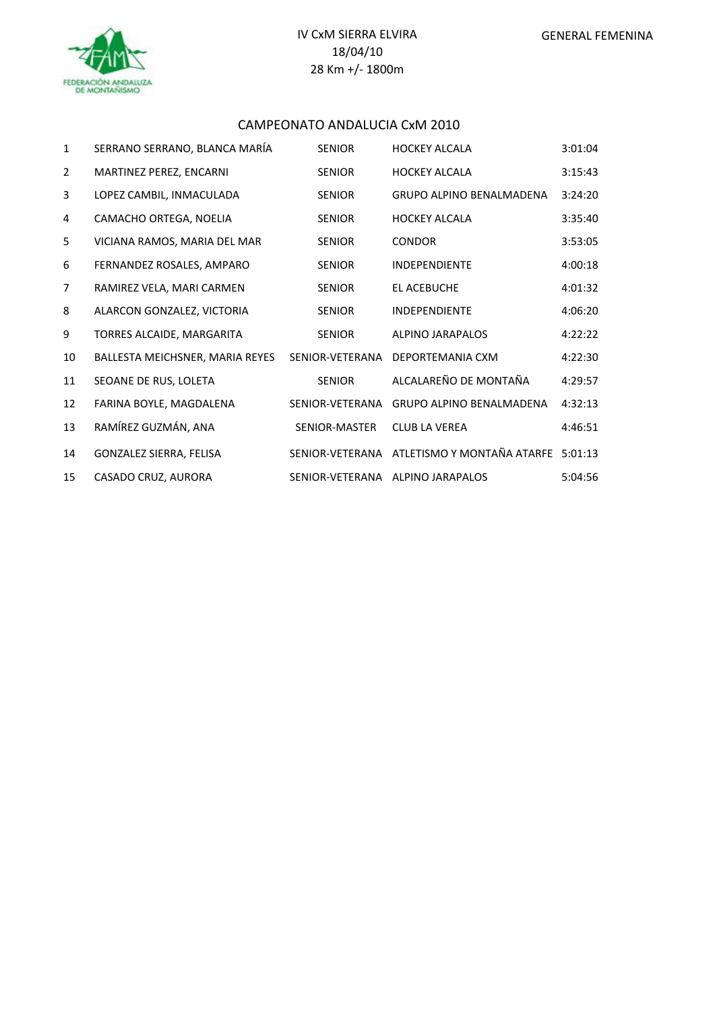

#### CAMPEONATO ANDALUCIA CxM 2010

÷.

| $\mathbf{1}$   | SERRANO SERRANO, BLANCA MARÍA   | <b>SENIOR</b>   | <b>HOCKEY ALCALA</b>               | 3:01:04 |
|----------------|---------------------------------|-----------------|------------------------------------|---------|
| $\overline{2}$ | MARTINEZ PEREZ, ENCARNI         | <b>SENIOR</b>   | <b>HOCKEY ALCALA</b>               | 3:15:43 |
| 3              | LOPEZ CAMBIL, INMACULADA        | <b>SENIOR</b>   | <b>GRUPO ALPINO BENALMADENA</b>    | 3:24:20 |
| 4              | CAMACHO ORTEGA, NOELIA          | <b>SENIOR</b>   | <b>HOCKEY ALCALA</b>               | 3:35:40 |
| 5              | VICIANA RAMOS, MARIA DEL MAR    | <b>SENIOR</b>   | <b>CONDOR</b>                      | 3:53:05 |
| 6              | FERNANDEZ ROSALES, AMPARO       | <b>SENIOR</b>   | <b>INDEPENDIENTE</b>               | 4:00:18 |
| $\overline{7}$ | RAMIREZ VELA, MARI CARMEN       | <b>SENIOR</b>   | EL ACEBUCHE                        | 4:01:32 |
| 8              | ALARCON GONZALEZ, VICTORIA      | <b>SENIOR</b>   | <b>INDEPENDIENTE</b>               | 4:06:20 |
| 9              | TORRES ALCAIDE, MARGARITA       | <b>SENIOR</b>   | <b>ALPINO JARAPALOS</b>            | 4:22:22 |
| 10             | BALLESTA MEICHSNER, MARIA REYES | SENIOR-VETERANA | DEPORTEMANIA CXM                   | 4:22:30 |
| 11             | SEOANE DE RUS, LOLETA           | <b>SENIOR</b>   | ALCALAREÑO DE MONTAÑA              | 4:29:57 |
| 12             | FARINA BOYLE, MAGDALENA         | SENIOR-VETERANA | <b>GRUPO ALPINO BENALMADENA</b>    | 4:32:13 |
| 13             | RAMÍREZ GUZMÁN, ANA             | SENIOR-MASTER   | <b>CLUB LA VEREA</b>               | 4:46:51 |
| 14             | GONZALEZ SIERRA, FELISA         | SENIOR-VETERANA | ATLETISMO Y MONTAÑA ATARFE 5:01:13 |         |
| 15             | CASADO CRUZ, AURORA             |                 | SENIOR-VETERANA ALPINO JARAPALOS   | 5:04:56 |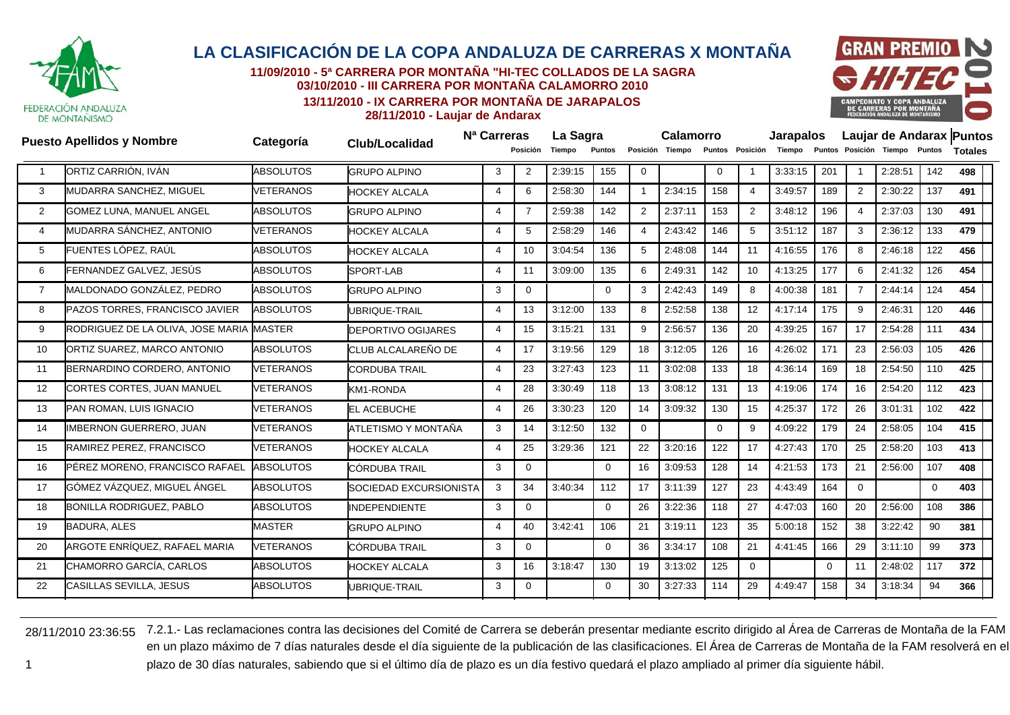

**11/09/2010 - 5ª CARRERA POR MONTAÑA "HI-TEC COLLADOS DE LA SAGRA03/10/2010 - III CARRERA POR MONTAÑA CALAMORRO 2010**

> **13/11/2010 - IX CARRERA POR MONTAÑA DE JARAPALOS28/11/2010 - Laujar de Andarax**



**Apellidos y Nombre Categoría Club/Localidad Nª Carreras Puesto La Sagra Calamorro Jarapalos Laujar de Andarax Puntos Posición Tiempo Puntos Posición Tiempo Puntos Posición Tiempo Puntos Posición Tiempo Puntos Totales**1 ORTIZ CARRIÓN, IVÁN ABSOLUTOS GRUPO ALPINO 3 <sup>2</sup> 2:39:15 <sup>155</sup> <sup>0</sup> <sup>0</sup> <sup>1</sup> 3:33:15 <sup>201</sup> <sup>1</sup> 2:28:51 <sup>142</sup> **<sup>498</sup>** 3 MUDARRA SANCHEZ, MIGUEL VETERANOS HOCKEY ALCALA 4 6 2:58:30 144 1 2:34:15 158 4 3:49:57 189 2 2:30:22 137 **491**  $\overline{2}$  GOMEZ LUNA, MANUEL ANGEL ABSOLUTOS GRUPO ALPINO 4 7 2:59:38 142 2 2:37:11 153 2 3:48:12 196 4 2:37:03 130 **491** 4 MUDARRA SÁNCHEZ, ANTONIO VETERANOS HOCKEY ALCALA 4 5 2:58:29 146 4 2:43:42 146 5 3:51:12 187 3 2:36:12 133 **479** 5 FUENTES LÓPEZ, RAÚL ABSOLUTOS HOCKEY ALCALA 4 10 3:04:54 136 5 2:48:08 144 11 4:16:55 176 8 2:46:18 122 **456** 6FERNANDEZ GALVEZ, JESÚS ABSOLUTOS SPORT-LAB 4 11 3:09:00 135 6 2:49:31 142 10 4:13:25 177 6 2:41:32 126 **454** 7 MALDONADO GONZÁLEZ, PEDRO ABSOLUTOS GRUPO ALPINO 3 <sup>0</sup> <sup>0</sup> <sup>3</sup> 2:42:43 <sup>149</sup> <sup>8</sup> 4:00:38 <sup>181</sup> <sup>7</sup> 2:44:14 <sup>124</sup> **<sup>454</sup>** 8PAZOS TORRES, FRANCISCO JAVIER ABSOLUTOS UBRIQUE-TRAIL 4 13 3:12:00 133 8 2:52:58 138 12 4:17:14 175 9 2:46:31 120 **446** 9RODRIGUEZ DE LA OLIVA, JOSE MARIA MASTER DEPORTIVO OGIJARES 4 15 3:15:21 131 9 2:56:57 136 20 4:39:25 167 17 2:54:28 111 **434** 10 ORTIZ SUAREZ, MARCO ANTONIO ABSOLUTOS CLUB ALCALAREÑO DE 4 17 3:19:56 129 18 3:12:05 126 16 4:26:02 171 23 2:56:03 105 **426** 11 BERNARDINO CORDERO, ANTONIO VETERANOS CORDUBA TRAIL 4 23 3:27:43 123 11 3:02:08 133 18 4:36:14 169 18 2:54:50 110 **425** 12 CORTES CORTES, JUAN MANUEL VETERANOS KM1-RONDA 4 28 3:30:49 118 13 3:08:12 131 13 4:19:06 174 16 2:54:20 112 **423** 13PAN ROMAN, LUIS IGNACIO VETERANOS EL ACEBUCHE 4 26 3:30:23 120 14 3:09:32 130 15 4:25:37 172 26 3:01:31 102 **422** 14 IMBERNON GUERRERO, JUAN VETERANOS ATLETISMO Y MONTAÑA 3 14 3:12:50 132 0 0 9 4:09:22 179 24 2:58:05 104 **415** 15 RAMIREZ PEREZ, FRANCISCO VETERANOS HOCKEY ALCALA 4 25 3:29:36 121 22 3:20:16 122 17 4:27:43 170 25 2:58:20 103 **413** 16 PÉREZ MORENO, FRANCISCO RAFAEL ABSOLUTOS CÓRDUBA TRAIL 3 0 0 16 3:09:53 128 14 4:21:53 173 21 2:56:00 107 **408** 17 GÓMEZ VÁZQUEZ, MIGUEL ÁNGEL ABSOLUTOS SOCIEDAD EXCURSIONISTA 3 <sup>34</sup> 3:40:34 <sup>112</sup> <sup>17</sup> 3:11:39 <sup>127</sup> <sup>23</sup> 4:43:49 <sup>164</sup> <sup>0</sup> <sup>0</sup> **<sup>403</sup>** 18 BONILLA RODRIGUEZ, PABLO ABSOLUTOS INDEPENDIENTE 3 0 0 26 3:22:36 118 27 4:47:03 160 20 2:56:00 108 **386** 199 BADURA, ALES MASTER IGRUPO ALPINO 4 | 40 | 3:42:41 | 106 | 21 |3:19:11 | 123 | 35 |5:00:18 | 152 | 38 |3:22:42 | 90 **381** 20 ARGOTE ENRÍQUEZ, RAFAEL MARIA VETERANOS CÓRDUBA TRAIL 3 0 0 36 3:34:17 108 21 4:41:45 166 29 3:11:10 99 **373** 21CHAMORRO GARCÍA, CARLOS ABSOLUTOS HOCKEY ALCALA 3 16 3:18:47 130 19 3:13:02 125 0 0 11 2:48:02 117 **372** 22CASILLAS SEVILLA, JESUS ABSOLUTOS UBRIQUE-TRAIL 3 0 0 30 3:27:33 114 29 4:49:47 158 34 3:18:34 94 **366**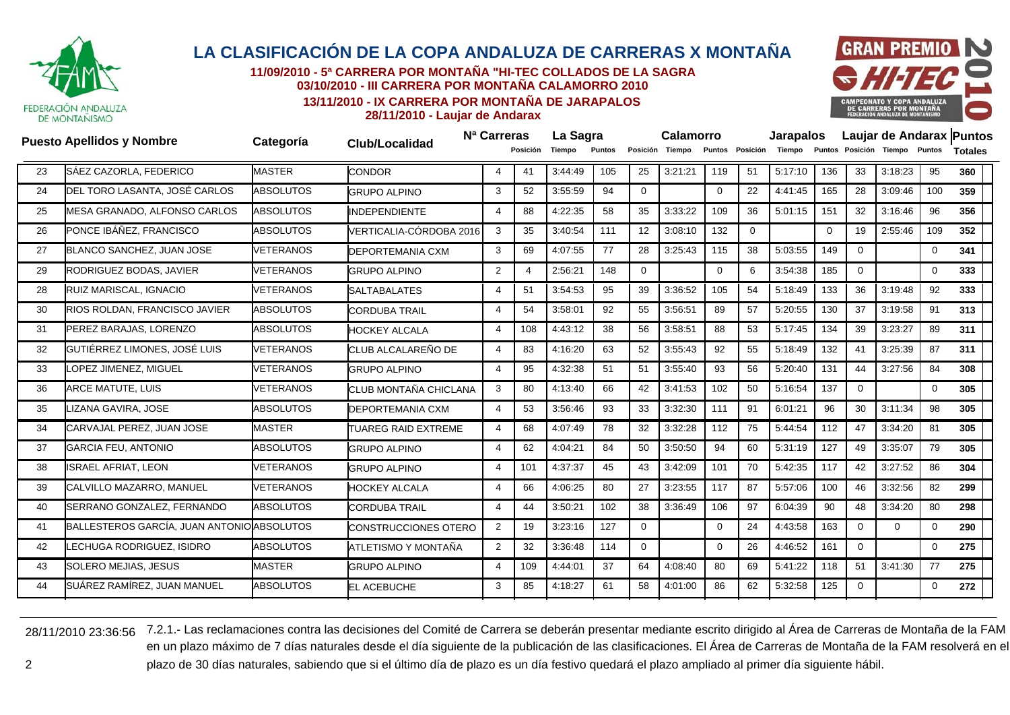

**11/09/2010 - 5ª CARRERA POR MONTAÑA "HI-TEC COLLADOS DE LA SAGRA03/10/2010 - III CARRERA POR MONTAÑA CALAMORRO 2010**

**13/11/2010 - IX CARRERA POR MONTAÑA DE JARAPALOS**



**28/11/2010 - Laujar de Andarax**

|    | <b>Puesto Apellidos y Nombre</b>           | Categoría        |                             | N <sup>a</sup> Carreras  |                 | La Sagra |               |                 | <b>Calamorro</b> |          |                 | <b>Jarapalos</b> |          |             | Laujar de Andarax Puntos      |             |                |  |
|----|--------------------------------------------|------------------|-----------------------------|--------------------------|-----------------|----------|---------------|-----------------|------------------|----------|-----------------|------------------|----------|-------------|-------------------------------|-------------|----------------|--|
|    |                                            |                  | <b>Club/Localidad</b>       |                          | <b>Posición</b> | Tiempo   | <b>Puntos</b> |                 | Posición Tiempo  |          | Puntos Posición | Tiempo           |          |             | Puntos Posición Tiempo Puntos |             | <b>Totales</b> |  |
| 23 | SÁEZ CAZORLA, FEDERICO                     | <b>MASTER</b>    | <b>CONDOR</b>               | $\boldsymbol{\varDelta}$ | 41              | 3:44:49  | 105           | 25              | 3:21:21          | 119      | 51              | 5:17:10          | 136      | 33          | 3:18:23                       | 95          | 360            |  |
| 24 | DEL TORO LASANTA, JOSÉ CARLOS              | <b>ABSOLUTOS</b> | <b>GRUPO ALPINO</b>         | 3                        | 52              | 3:55:59  | 94            | $\mathbf{0}$    |                  | $\Omega$ | 22              | 4:41:45          | 165      | 28          | 3:09:46                       | 100         | 359            |  |
| 25 | MESA GRANADO, ALFONSO CARLOS               | <b>ABSOLUTOS</b> | <b>INDEPENDIENTE</b>        | $\Delta$                 | 88              | 4:22:35  | 58            | 35              | 3:33:22          | 109      | 36              | 5:01:15          | 151      | 32          | 3:16:46                       | 96          | 356            |  |
| 26 | PONCE IBÁÑEZ, FRANCISCO                    | <b>ABSOLUTOS</b> | VERTICALIA-CÓRDOBA 2016     | 3                        | 35              | 3:40:54  | 111           | 12 <sup>2</sup> | 3:08:10          | 132      | $\mathbf 0$     |                  | $\Omega$ | 19          | 2:55:46                       | 109         | 352            |  |
| 27 | BLANCO SANCHEZ, JUAN JOSE                  | <b>VETERANOS</b> | DEPORTEMANIA CXM            | 3                        | 69              | 4:07:55  | 77            | 28              | 3:25:43          | 115      | 38              | 5:03:55          | 149      | $\mathbf 0$ |                               | 0           | 341            |  |
| 29 | RODRIGUEZ BODAS, JAVIER                    | <b>VETERANOS</b> | <b>GRUPO ALPINO</b>         | 2                        | 4               | 2:56:21  | 148           | $\mathbf{0}$    |                  | $\Omega$ | 6               | 3:54:38          | 185      | $\Omega$    |                               | 0           | 333            |  |
| 28 | RUIZ MARISCAL, IGNACIO                     | <b>VETERANOS</b> | <b>SALTABALATES</b>         | $\Delta$                 | 51              | 3:54:53  | 95            | 39              | 3:36:52          | 105      | 54              | 5:18:49          | 133      | 36          | 3:19:48                       | 92          | 333            |  |
| 30 | <b>RIOS ROLDAN, FRANCISCO JAVIER</b>       | <b>ABSOLUTOS</b> | <b>CORDUBA TRAIL</b>        | $\Delta$                 | 54              | 3:58:01  | 92            | 55              | 3:56:51          | 89       | 57              | 5:20:55          | 130      | 37          | 3:19:58                       | 91          | 313            |  |
| 31 | PEREZ BARAJAS, LORENZO                     | <b>ABSOLUTOS</b> | <b>HOCKEY ALCALA</b>        | $\boldsymbol{\Delta}$    | 108             | 4:43:12  | 38            | 56              | 3:58:51          | 88       | 53              | 5:17:45          | 134      | 39          | 3:23:27                       | 89          | 311            |  |
| 32 | GUTIÉRREZ LIMONES, JOSÉ LUIS               | <b>VETERANOS</b> | CLUB ALCALAREÑO DE          | 4                        | 83              | 4:16:20  | 63            | 52              | 3:55:43          | 92       | 55              | 5:18:49          | 132      | 41          | 3:25:39                       | 87          | 311            |  |
| 33 | OPEZ JIMENEZ, MIGUEL                       | <b>VETERANOS</b> | <b>GRUPO ALPINO</b>         | $\boldsymbol{\Delta}$    | 95              | 4:32:38  | 51            | 51              | 3:55:40          | 93       | 56              | 5:20:40          | 131      | 44          | 3:27:56                       | 84          | 308            |  |
| 36 | <b>ARCE MATUTE, LUIS</b>                   | <b>VETERANOS</b> | CLUB MONTAÑA CHICLANA       | 3                        | 80              | 4:13:40  | 66            | 42              | 3:41:53          | 102      | 50              | 5:16:54          | 137      | $\mathbf 0$ |                               | $\mathbf 0$ | 305            |  |
| 35 | IZANA GAVIRA, JOSE                         | <b>ABSOLUTOS</b> | <b>DEPORTEMANIA CXM</b>     | $\boldsymbol{\Delta}$    | 53              | 3:56:46  | 93            | 33              | 3:32:30          | 111      | 91              | 6:01:21          | 96       | 30          | 3:11:34                       | 98          | 305            |  |
| 34 | CARVAJAL PEREZ, JUAN JOSE                  | <b>MASTER</b>    | <b>TUAREG RAID EXTREME</b>  | $\overline{4}$           | 68              | 4:07:49  | 78            | 32              | 3:32:28          | 112      | 75              | 5:44:54          | 112      | 47          | 3:34:20                       | 81          | 305            |  |
| 37 | <b>GARCIA FEU, ANTONIO</b>                 | <b>ABSOLUTOS</b> | <b>GRUPO ALPINO</b>         | $\overline{4}$           | 62              | 4:04:21  | 84            | 50              | 3:50:50          | 94       | 60              | 5:31:19          | 127      | 49          | 3:35:07                       | 79          | 305            |  |
| 38 | <b>SRAEL AFRIAT, LEON</b>                  | <b>VETERANOS</b> | <b>GRUPO ALPINO</b>         | $\Delta$                 | 101             | 4:37:37  | 45            | 43              | 3:42:09          | 101      | 70              | 5:42:35          | 117      | 42          | 3:27:52                       | 86          | 304            |  |
| 39 | CALVILLO MAZARRO, MANUEL                   | <b>VETERANOS</b> | <b>HOCKEY ALCALA</b>        | $\Delta$                 | 66              | 4:06:25  | 80            | 27              | 3:23:55          | 117      | 87              | 5:57:06          | 100      | 46          | 3:32:56                       | 82          | 299            |  |
| 40 | SERRANO GONZALEZ, FERNANDO                 | <b>ABSOLUTOS</b> | <b>CORDUBA TRAIL</b>        | $\overline{4}$           | 44              | 3:50:21  | 102           | 38              | 3:36:49          | 106      | 97              | 6:04:39          | 90       | 48          | 3:34:20                       | 80          | 298            |  |
| 41 | BALLESTEROS GARCÍA, JUAN ANTONIO ABSOLUTOS |                  | <b>CONSTRUCCIONES OTERO</b> | 2                        | 19              | 3:23:16  | 127           | $\overline{0}$  |                  | $\Omega$ | 24              | 4:43:58          | 163      | $\Omega$    | $\Omega$                      | $\mathbf 0$ | 290            |  |
| 42 | ECHUGA RODRIGUEZ, ISIDRO                   | <b>ABSOLUTOS</b> | ATLETISMO Y MONTAÑA         | 2                        | 32              | 3:36:48  | 114           | $\mathbf{0}$    |                  | $\Omega$ | 26              | 4:46:52          | 161      | $\mathbf 0$ |                               | 0           | 275            |  |
| 43 | SOLERO MEJIAS, JESUS                       | <b>MASTER</b>    | <b>GRUPO ALPINO</b>         | $\overline{4}$           | 109             | 4:44:01  | 37            | 64              | 4:08:40          | 80       | 69              | 5:41:22          | 118      | 51          | 3:41:30                       | 77          | 275            |  |
| 44 | SUÁREZ RAMÍREZ, JUAN MANUEL                | <b>ABSOLUTOS</b> | <b>EL ACEBUCHE</b>          | 3                        | 85              | 4:18:27  | 61            | 58              | 4:01:00          | 86       | 62              | 5:32:58          | 125      | $\Omega$    |                               | 0           | 272            |  |
|    |                                            |                  |                             |                          |                 |          |               |                 |                  |          |                 |                  |          |             |                               |             |                |  |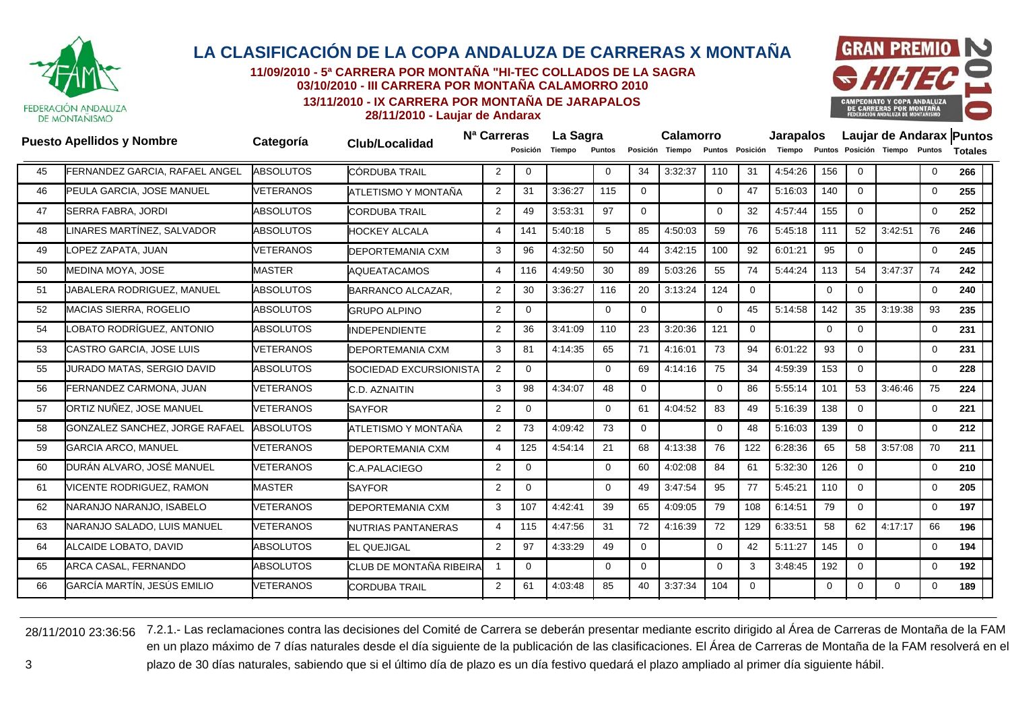

**11/09/2010 - 5ª CARRERA POR MONTAÑA "HI-TEC COLLADOS DE LA SAGRA03/10/2010 - III CARRERA POR MONTAÑA CALAMORRO 2010**

**13/11/2010 - IX CARRERA POR MONTAÑA DE JARAPALOS**



**28/11/2010 - Laujar de Andarax**

|    | <b>Puesto Apellidos y Nombre</b> | Categoría        |                           | N <sup>a</sup> Carreras |          | La Sagra |                 |                | <b>Calamorro</b> |          |                 | <b>Jarapalos</b> |              |             |                                      |              | Laujar de Andarax Puntos |
|----|----------------------------------|------------------|---------------------------|-------------------------|----------|----------|-----------------|----------------|------------------|----------|-----------------|------------------|--------------|-------------|--------------------------------------|--------------|--------------------------|
|    |                                  |                  | Club/Localidad            |                         | Posición | Tiempo   | Puntos          |                | Posición Tiempo  |          | Puntos Posición |                  |              |             | Tiempo Puntos Posición Tiempo Puntos |              | <b>Totales</b>           |
| 45 | FERNANDEZ GARCIA, RAFAEL ANGEL   | <b>ABSOLUTOS</b> | CÓRDUBA TRAIL             | 2                       | $\Omega$ |          | $\Omega$        | 34             | 3:32:37          | 110      | 31              | 4:54:26          | 156          | $\Omega$    |                                      | $\mathbf{0}$ | 266                      |
| 46 | PEULA GARCIA, JOSE MANUEL        | <b>VETERANOS</b> | ATLETISMO Y MONTAÑA       | $\overline{2}$          | 31       | 3:36:27  | 115             | $\Omega$       |                  | $\Omega$ | 47              | 5:16:03          | 140          | $\Omega$    |                                      | $\mathbf 0$  | 255                      |
| 47 | SERRA FABRA, JORDI               | <b>ABSOLUTOS</b> | <b>CORDUBA TRAIL</b>      | 2                       | 49       | 3:53:31  | 97              | $\overline{0}$ |                  | $\Omega$ | 32              | 4.57.44          | 155          | $\mathbf 0$ |                                      | $\mathbf 0$  | 252                      |
| 48 | LINARES MARTÍNEZ. SALVADOR       | <b>ABSOLUTOS</b> | <b>HOCKEY ALCALA</b>      | ⊿                       | 141      | 5:40:18  | $5\overline{5}$ | 85             | 4:50:03          | 59       | 76              | 5:45:18          | 111          | 52          | 3:42:51                              | 76           | 246                      |
| 49 | OPEZ ZAPATA, JUAN                | VETERANOS        | <b>DEPORTEMANIA CXM</b>   | 3                       | 96       | 4:32:50  | 50              | 44             | 3:42:15          | 100      | 92              | 6:01:21          | 95           | $\mathbf 0$ |                                      | $\mathbf 0$  | 245                      |
| 50 | MEDINA MOYA, JOSE                | <b>MASTER</b>    | <b>AQUEATACAMOS</b>       | $\overline{4}$          | 116      | 4:49:50  | 30              | 89             | 5:03:26          | 55       | 74              | 5:44:24          | 113          | 54          | 3:47:37                              | 74           | 242                      |
| 51 | JABALERA RODRIGUEZ, MANUEL       | <b>ABSOLUTOS</b> | BARRANCO ALCAZAR,         | 2                       | 30       | 3:36:27  | 116             | 20             | 3:13:24          | 124      | $\mathbf{0}$    |                  | $\mathbf{0}$ | $\Omega$    |                                      | $\mathbf 0$  | 240                      |
| 52 | <b>MACIAS SIERRA, ROGELIO</b>    | <b>ABSOLUTOS</b> | <b>GRUPO ALPINO</b>       | 2                       | $\Omega$ |          | $\mathbf 0$     | $\overline{0}$ |                  | 0        | 45              | 5:14:58          | 142          | 35          | 3:19:38                              | 93           | 235                      |
| 54 | LOBATO RODRÍGUEZ. ANTONIO        | <b>ABSOLUTOS</b> | <b>INDEPENDIENTE</b>      | 2                       | 36       | 3:41:09  | 110             | 23             | 3:20:36          | 121      | $\Omega$        |                  | $\Omega$     | $\Omega$    |                                      | $\mathbf 0$  | 231                      |
| 53 | <b>CASTRO GARCIA, JOSE LUIS</b>  | <b>VETERANOS</b> | <b>DEPORTEMANIA CXM</b>   | 3                       | 81       | 4:14:35  | 65              | 71             | 4:16:01          | 73       | 94              | 6:01:22          | 93           | $\Omega$    |                                      | $\mathbf 0$  | 231                      |
| 55 | JURADO MATAS, SERGIO DAVID       | <b>ABSOLUTOS</b> | SOCIEDAD EXCURSIONISTA    | 2                       | $\Omega$ |          | $\Omega$        | 69             | 4:14:16          | 75       | 34              | 4:59:39          | 153          | $\Omega$    |                                      | $\mathbf 0$  | 228                      |
| 56 | FERNANDEZ CARMONA, JUAN          | <b>VETERANOS</b> | C.D. AZNAITIN             | 3                       | 98       | 4:34:07  | 48              | $\overline{0}$ |                  | $\Omega$ | 86              | 5:55:14          | 101          | 53          | 3:46:46                              | 75           | 224                      |
| 57 | ORTIZ NUÑEZ, JOSE MANUEL         | <b>VETERANOS</b> | <b>SAYFOR</b>             | 2                       | $\Omega$ |          | $\Omega$        | 61             | 4:04:52          | 83       | 49              | 5:16:39          | 138          | $\Omega$    |                                      | $\mathbf 0$  | 221                      |
| 58 | GONZALEZ SANCHEZ, JORGE RAFAEL   | <b>ABSOLUTOS</b> | ATLETISMO Y MONTAÑA       | 2                       | 73       | 4:09:42  | 73              | $\overline{0}$ |                  | $\Omega$ | 48              | 5:16:03          | 139          | $\Omega$    |                                      | $\mathbf 0$  | 212                      |
| 59 | <b>GARCIA ARCO, MANUEL</b>       | VETERANOS        | <b>DEPORTEMANIA CXM</b>   | $\boldsymbol{\Delta}$   | 125      | 4:54:14  | 21              | 68             | 4:13:38          | 76       | 122             | 6:28:36          | 65           | 58          | 3:57:08                              | 70           | 211                      |
| 60 | DURÁN ALVARO. JOSÉ MANUEL        | <b>VETERANOS</b> | C.A.PALACIEGO             | 2                       | $\Omega$ |          | $\Omega$        | 60             | 4:02:08          | 84       | 61              | 5:32:30          | 126          | $\Omega$    |                                      | $\mathbf 0$  | 210                      |
| 61 | VICENTE RODRIGUEZ, RAMON         | <b>MASTER</b>    | <b>SAYFOR</b>             | $\overline{2}$          | $\Omega$ |          | $\Omega$        | 49             | 3:47:54          | 95       | 77              | 5:45:21          | 110          | $\Omega$    |                                      | $\mathbf 0$  | 205                      |
| 62 | NARANJO NARANJO. ISABELO         | <b>VETERANOS</b> | DEPORTEMANIA CXM          | 3                       | 107      | 4:42:41  | 39              | 65             | 4:09:05          | 79       | 108             | 6:14:51          | 79           | $\mathbf 0$ |                                      | $\mathbf 0$  | 197                      |
| 63 | NARANJO SALADO, LUIS MANUEL      | <b>VETERANOS</b> | <b>NUTRIAS PANTANERAS</b> | $\boldsymbol{\Delta}$   | 115      | 4:47:56  | 31              | 72             | 4:16:39          | 72       | 129             | 6:33:51          | 58           | 62          | 4:17:17                              | 66           | 196                      |
| 64 | <b>ALCAIDE LOBATO, DAVID</b>     | <b>ABSOLUTOS</b> | <b>EL QUEJIGAL</b>        | $\overline{2}$          | 97       | 4:33:29  | 49              | $\overline{0}$ |                  | 0        | 42              | 5:11:27          | 145          | $\mathbf 0$ |                                      | $\mathbf 0$  | 194                      |
| 65 | ARCA CASAL, FERNANDO             | <b>ABSOLUTOS</b> | CLUB DE MONTAÑA RIBEIRA   |                         | $\Omega$ |          | $\Omega$        | $\Omega$       |                  | $\Omega$ | 3               | 3:48:45          | 192          | $\Omega$    |                                      | $\mathbf 0$  | 192                      |
| 66 | GARCÍA MARTÍN, JESÚS EMILIO      | <b>VETERANOS</b> | <b>CORDUBA TRAIL</b>      | 2                       | 61       | 4:03:48  | 85              | 40             | 3:37:34          | 104      | $\Omega$        |                  | $\Omega$     | $\Omega$    | $\Omega$                             | $\Omega$     | 189                      |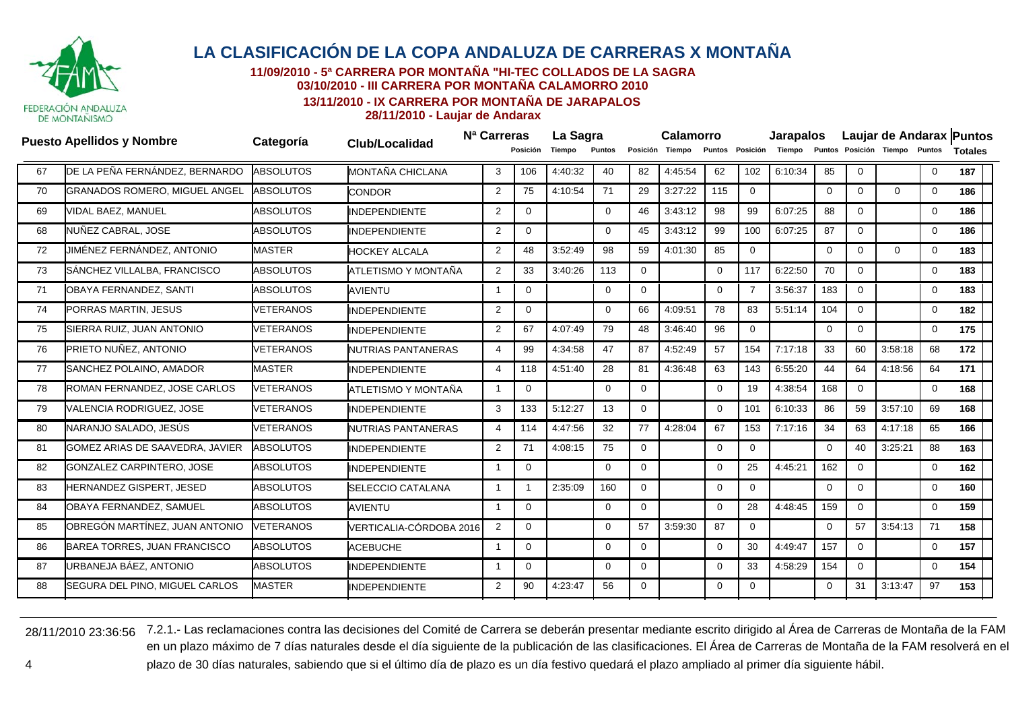

**11/09/2010 - 5ª CARRERA POR MONTAÑA "HI-TEC COLLADOS DE LA SAGRA**

**03/10/2010 - III CARRERA POR MONTAÑA CALAMORRO 2010**

**13/11/2010 - IX CARRERA POR MONTAÑA DE JARAPALOS**

**28/11/2010 - Laujar de Andarax**

|    | <b>Puesto Apellidos y Nombre</b>     | Categoría        | <b>Club/Localidad</b>    | N <sup>a</sup> Carreras | Posición       | La Sagra<br>Tiempo | Puntos         |              | Calamorro<br>Posición Tiempo |             | Puntos Posición | <b>Jarapalos</b><br>Tiempo |             |                | Puntos Posición Tiempo Puntos |             | Laujar de Andarax Puntos<br><b>Totales</b> |
|----|--------------------------------------|------------------|--------------------------|-------------------------|----------------|--------------------|----------------|--------------|------------------------------|-------------|-----------------|----------------------------|-------------|----------------|-------------------------------|-------------|--------------------------------------------|
| 67 | DE LA PEÑA FERNÁNDEZ, BERNARDO       | <b>ABSOLUTOS</b> | MONTAÑA CHICLANA         | 3                       | 106            | 4:40:32            | 40             | 82           | 4:45:54                      | 62          | 102             | 6:10:34                    | 85          | $\mathbf 0$    |                               | $\mathbf 0$ | 187                                        |
| 70 | <b>GRANADOS ROMERO, MIGUEL ANGEL</b> | <b>ABSOLUTOS</b> | <b>CONDOR</b>            | 2                       | 75             | 4:10:54            | 71             | 29           | 3:27:22                      | 115         | $\overline{0}$  |                            | $\Omega$    | $\Omega$       | $\Omega$                      | 0           | 186                                        |
| 69 | VIDAL BAEZ, MANUEL                   | <b>ABSOLUTOS</b> | <b>INDEPENDIENTE</b>     | $\overline{2}$          | $\overline{0}$ |                    | $\overline{0}$ | 46           | 3:43:12                      | 98          | 99              | 6:07:25                    | 88          | $\Omega$       |                               | $\mathbf 0$ | 186                                        |
| 68 | NUÑEZ CABRAL, JOSE                   | <b>ABSOLUTOS</b> | <b>INDEPENDIENTE</b>     | 2                       | $\mathbf 0$    |                    | $\Omega$       | 45           | 3:43:12                      | 99          | 100             | 6:07:25                    | 87          | $\Omega$       |                               | 0           | 186                                        |
| 72 | JIMÉNEZ FERNÁNDEZ, ANTONIO           | <b>MASTER</b>    | <b>HOCKEY ALCALA</b>     | $\overline{2}$          | 48             | 3:52:49            | 98             | 59           | 4:01:30                      | 85          | $\mathbf 0$     |                            | $\Omega$    | $\Omega$       | $\Omega$                      | $\mathbf 0$ | 183                                        |
| 73 | SÁNCHEZ VILLALBA, FRANCISCO          | <b>ABSOLUTOS</b> | ATLETISMO Y MONTAÑA      | 2                       | 33             | 3:40:26            | 113            | 0            |                              | $\Omega$    | 117             | 6:22:50                    | 70          | $\Omega$       |                               | 0           | 183                                        |
| 71 | OBAYA FERNANDEZ, SANTI               | <b>ABSOLUTOS</b> | <b>AVIENTU</b>           | $\overline{1}$          | $\mathbf{0}$   |                    | $\Omega$       | $\mathbf{0}$ |                              | $\Omega$    | $\overline{7}$  | 3:56:37                    | 183         | $\Omega$       |                               | $\mathbf 0$ | 183                                        |
| 74 | PORRAS MARTIN, JESUS                 | VETERANOS        | <b>INDEPENDIENTE</b>     | 2                       | $\Omega$       |                    | $\Omega$       | 66           | 4:09:51                      | 78          | 83              | 5:51:14                    | 104         | $\Omega$       |                               | $\mathbf 0$ | 182                                        |
| 75 | SIERRA RUIZ, JUAN ANTONIO            | VETERANOS        | <b>INDEPENDIENTE</b>     | $\overline{2}$          | 67             | 4:07:49            | 79             | 48           | 3:46:40                      | 96          | $\mathbf 0$     |                            | $\mathbf 0$ | $\Omega$       |                               | $\mathbf 0$ | 175                                        |
| 76 | PRIETO NUÑEZ, ANTONIO                | VETERANOS        | NUTRIAS PANTANERAS       | $\overline{4}$          | 99             | 4:34:58            | 47             | 87           | 4:52:49                      | 57          | 154             | 7:17:18                    | 33          | 60             | 3:58:18                       | 68          | 172                                        |
| 77 | SANCHEZ POLAINO, AMADOR              | <b>MASTER</b>    | <b>INDEPENDIENTE</b>     | $\overline{4}$          | 118            | 4:51:40            | 28             | 81           | 4:36:48                      | 63          | 143             | 6:55:20                    | 44          | 64             | 4:18:56                       | 64          | 171                                        |
| 78 | ROMAN FERNANDEZ, JOSE CARLOS         | <b>VETERANOS</b> | ATLETISMO Y MONTAÑA      | -1                      | 0              |                    | $\Omega$       | $\Omega$     |                              | $\Omega$    | 19              | 4:38:54                    | 168         | $\mathbf 0$    |                               | $\mathbf 0$ | 168                                        |
| 79 | VALENCIA RODRIGUEZ, JOSE             | <b>VETERANOS</b> | <b>INDEPENDIENTE</b>     | 3                       | 133            | 5:12:27            | 13             | $\mathbf 0$  |                              | $\Omega$    | 101             | 6:10:33                    | 86          | 59             | 3:57:10                       | 69          | 168                                        |
| 80 | NARANJO SALADO, JESÚS                | <b>VETERANOS</b> | NUTRIAS PANTANERAS       | 4                       | 114            | 4:47:56            | 32             | 77           | 4:28:04                      | 67          | 153             | 7:17:16                    | 34          | 63             | 4:17:18                       | 65          | 166                                        |
| 81 | GOMEZ ARIAS DE SAAVEDRA, JAVIER      | <b>ABSOLUTOS</b> | <b>INDEPENDIENTE</b>     | $\overline{2}$          | 71             | 4:08:15            | 75             | $\Omega$     |                              | $\Omega$    | $\mathbf 0$     |                            | $\Omega$    | 40             | 3:25:21                       | 88          | 163                                        |
| 82 | GONZALEZ CARPINTERO, JOSE            | <b>ABSOLUTOS</b> | <b>INDEPENDIENTE</b>     | -1                      | $\mathbf 0$    |                    | $\Omega$       | $\Omega$     |                              | $\Omega$    | 25              | 4:45:21                    | 162         | $\Omega$       |                               | 0           | 162                                        |
| 83 | HERNANDEZ GISPERT, JESED             | <b>ABSOLUTOS</b> | <b>SELECCIO CATALANA</b> | $\overline{1}$          |                | 2:35:09            | 160            | $\mathbf 0$  |                              | $\mathbf 0$ | $\mathbf{0}$    |                            | $\mathbf 0$ | $\Omega$       |                               | $\mathbf 0$ | 160                                        |
| 84 | OBAYA FERNANDEZ, SAMUEL              | <b>ABSOLUTOS</b> | <b>AVIENTU</b>           | -1                      | $\Omega$       |                    | 0              | $\mathbf 0$  |                              | $\Omega$    | 28              | 4:48:45                    | 159         | $\overline{0}$ |                               | 0           | 159                                        |
| 85 | OBREGÓN MARTÍNEZ, JUAN ANTONIO       | <b>VETERANOS</b> | VERTICALIA-CÓRDOBA 2016  | 2                       | $\mathbf{0}$   |                    | $\Omega$       | 57           | 3:59:30                      | 87          | $\mathbf 0$     |                            | $\mathbf 0$ | 57             | 3:54:13                       | 71          | 158                                        |
| 86 | BAREA TORRES, JUAN FRANCISCO         | <b>ABSOLUTOS</b> | <b>ACEBUCHE</b>          | -1                      | $\Omega$       |                    | $\Omega$       | $\Omega$     |                              | $\Omega$    | 30              | 4:49:47                    | 157         | $\Omega$       |                               | 0           | 157                                        |
| 87 | URBANEJA BÁEZ, ANTONIO               | <b>ABSOLUTOS</b> | <b>INDEPENDIENTE</b>     | $\overline{1}$          | $\mathbf 0$    |                    | $\Omega$       | $\Omega$     |                              | $\Omega$    | 33              | 4:58:29                    | 154         | $\mathbf 0$    |                               | $\mathbf 0$ | 154                                        |
| 88 | SEGURA DEL PINO, MIGUEL CARLOS       | <b>MASTER</b>    | <b>INDEPENDIENTE</b>     | 2                       | 90             | 4:23:47            | 56             | 0            |                              | $\Omega$    | $\Omega$        |                            | $\Omega$    | 31             | 3:13:47                       | 97          | 153                                        |
|    |                                      |                  |                          |                         |                |                    |                |              |                              |             |                 |                            |             |                |                               |             |                                            |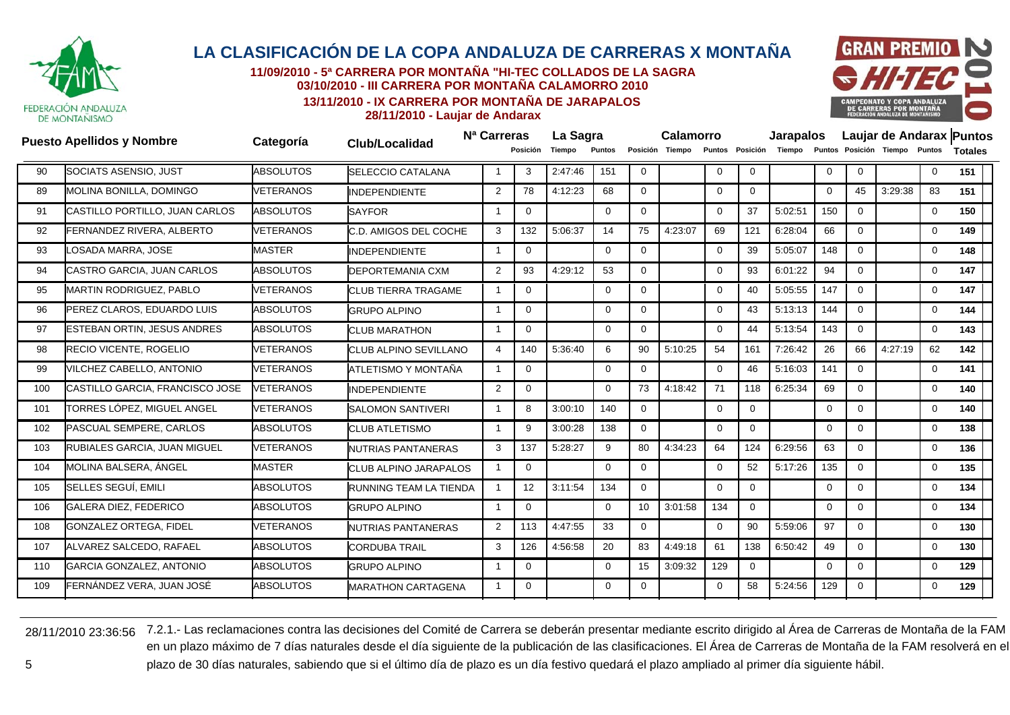

**11/09/2010 - 5ª CARRERA POR MONTAÑA "HI-TEC COLLADOS DE LA SAGRA03/10/2010 - III CARRERA POR MONTAÑA CALAMORRO 2010**

**13/11/2010 - IX CARRERA POR MONTAÑA DE JARAPALOS**



**28/11/2010 - Laujar de Andarax**

|     | <b>Puesto Apellidos y Nombre</b>   | Categoría        | <b>Club/Localidad</b>         | N <sup>a</sup> Carreras |             | La Sagra |               |                | <b>Calamorro</b> |             |             | <b>Jarapalos</b> |             |             |                                                      |              | Laujar de Andarax Puntos |
|-----|------------------------------------|------------------|-------------------------------|-------------------------|-------------|----------|---------------|----------------|------------------|-------------|-------------|------------------|-------------|-------------|------------------------------------------------------|--------------|--------------------------|
|     |                                    |                  |                               |                         | Posición    | Tiempo   | <b>Puntos</b> |                | Posición Tiempo  |             |             |                  |             |             | Puntos Posición Tiempo Puntos Posición Tiempo Puntos |              | <b>Totales</b>           |
| 90  | SOCIATS ASENSIO, JUST              | <b>ABSOLUTOS</b> | <b>SELECCIO CATALANA</b>      |                         | 3           | 2:47:46  | 151           | $\Omega$       |                  | $\Omega$    | $\Omega$    |                  | $\Omega$    | $\Omega$    |                                                      | $\Omega$     | 151                      |
| 89  | MOLINA BONILLA, DOMINGO            | <b>VETERANOS</b> | <b>INDEPENDIENTE</b>          | 2                       | 78          | 4:12:23  | 68            | $\mathbf{0}$   |                  | $\Omega$    | $\mathbf 0$ |                  | $\mathbf 0$ | 45          | 3:29:38                                              | 83           | 151                      |
| 91  | CASTILLO PORTILLO, JUAN CARLOS     | <b>ABSOLUTOS</b> | <b>SAYFOR</b>                 | $\overline{\mathbf{1}}$ | 0           |          | $\Omega$      | $\overline{0}$ |                  | $\Omega$    | 37          | 5:02:51          | 150         | $\Omega$    |                                                      | $\mathbf{0}$ | 150                      |
| 92  | FERNANDEZ RIVERA, ALBERTO          | <b>VETERANOS</b> | C.D. AMIGOS DEL COCHE         | 3                       | 132         | 5:06:37  | 14            | 75             | 4:23:07          | 69          | 121         | 6:28:04          | 66          | $\Omega$    |                                                      | $\mathbf 0$  | 149                      |
| 93  | <b>_OSADA MARRA, JOSE</b>          | <b>MASTER</b>    | <b>INDEPENDIENTE</b>          | $\overline{\mathbf{1}}$ | $\Omega$    |          | $\Omega$      | $\Omega$       |                  | $\Omega$    | 39          | 5:05:07          | 148         | $\Omega$    |                                                      | $\mathbf{0}$ | 148                      |
| 94  | CASTRO GARCIA, JUAN CARLOS         | <b>ABSOLUTOS</b> | <b>DEPORTEMANIA CXM</b>       | 2                       | 93          | 4:29:12  | 53            | $\mathbf 0$    |                  | $\Omega$    | 93          | 6:01:22          | 94          | $\Omega$    |                                                      | $\mathbf 0$  | 147                      |
| 95  | <b>MARTIN RODRIGUEZ, PABLO</b>     | VETERANOS        | <b>CLUB TIERRA TRAGAME</b>    |                         | $\Omega$    |          | $\Omega$      | $\Omega$       |                  | $\Omega$    | 40          | 5:05:55          | 147         | $\Omega$    |                                                      | $\mathbf 0$  | 147                      |
| 96  | PEREZ CLAROS, EDUARDO LUIS         | <b>ABSOLUTOS</b> | <b>GRUPO ALPINO</b>           | -1                      | $\Omega$    |          | $\Omega$      | $\Omega$       |                  | $\Omega$    | 43          | 5:13:13          | 144         | $\Omega$    |                                                      | $\mathbf 0$  | 144                      |
| 97  | <b>ESTEBAN ORTIN, JESUS ANDRES</b> | <b>ABSOLUTOS</b> | <b>CLUB MARATHON</b>          | -1                      | $\mathbf 0$ |          | $\mathbf 0$   | $\mathbf{0}$   |                  | $\Omega$    | 44          | 5:13:54          | 143         | $\Omega$    |                                                      | $\mathbf 0$  | 143                      |
| 98  | RECIO VICENTE, ROGELIO             | VETERANOS        | <b>CLUB ALPINO SEVILLANO</b>  | $\overline{4}$          | 140         | 5:36:40  | 6             | 90             | 5:10:25          | 54          | 161         | 7:26:42          | 26          | 66          | 4:27:19                                              | 62           | 142                      |
| 99  | VILCHEZ CABELLO, ANTONIO           | VETERANOS        | ATLETISMO Y MONTAÑA           |                         | 0           |          | $\Omega$      | $\mathbf 0$    |                  | $\Omega$    | 46          | 5:16:03          | 141         | $\Omega$    |                                                      | $\mathbf 0$  | 141                      |
| 100 | CASTILLO GARCIA, FRANCISCO JOSE    | <b>VETERANOS</b> | <b>INDEPENDIENTE</b>          | $\overline{2}$          | $\Omega$    |          | $\Omega$      | 73             | 4:18:42          | 71          | 118         | 6:25:34          | 69          | $\Omega$    |                                                      | $\mathbf 0$  | 140                      |
| 101 | TORRES LÓPEZ, MIGUEL ANGEL         | <b>VETERANOS</b> | <b>SALOMON SANTIVERI</b>      | $\mathbf 1$             | 8           | 3:00:10  | 140           | $\mathbf 0$    |                  | $\mathbf 0$ | $\mathbf 0$ |                  | $\mathbf 0$ | $\mathbf 0$ |                                                      | $\mathbf 0$  | 140                      |
| 102 | PASCUAL SEMPERE, CARLOS            | <b>ABSOLUTOS</b> | <b>CLUB ATLETISMO</b>         | $\overline{\mathbf{1}}$ | 9           | 3:00:28  | 138           | $\Omega$       |                  | $\Omega$    | $\Omega$    |                  | $\Omega$    | $\Omega$    |                                                      | $\mathbf 0$  | 138                      |
| 103 | RUBIALES GARCIA, JUAN MIGUEL       | <b>VETERANOS</b> | NUTRIAS PANTANERAS            | 3                       | 137         | 5:28:27  | 9             | 80             | 4:34:23          | 64          | 124         | 6:29:56          | 63          | $\Omega$    |                                                      | 0            | 136                      |
| 104 | MOLINA BALSERA. ÁNGEL              | <b>MASTER</b>    | CLUB ALPINO JARAPALOS         | $\overline{\mathbf{1}}$ | $\Omega$    |          | $\Omega$      | $\Omega$       |                  | $\Omega$    | 52          | 5:17:26          | 135         | $\Omega$    |                                                      | $\mathbf 0$  | 135                      |
| 105 | SELLES SEGUÍ, EMILI                | <b>ABSOLUTOS</b> | <b>RUNNING TEAM LA TIENDA</b> |                         | 12          | 3:11:54  | 134           | $\overline{0}$ |                  | $\Omega$    | $\mathbf 0$ |                  | $\mathbf 0$ | $\Omega$    |                                                      | $\mathbf 0$  | 134                      |
| 106 | <b>GALERA DIEZ, FEDERICO</b>       | <b>ABSOLUTOS</b> | <b>GRUPO ALPINO</b>           |                         | 0           |          | $\Omega$      | 10             | 3:01:58          | 134         | $\mathbf 0$ |                  | $\mathbf 0$ | $\Omega$    |                                                      | $\mathbf 0$  | 134                      |
| 108 | <b>GONZALEZ ORTEGA, FIDEL</b>      | VETERANOS        | <b>NUTRIAS PANTANERAS</b>     | $\overline{2}$          | 113         | 4:47:55  | 33            | $\mathbf 0$    |                  | $\Omega$    | 90          | 5:59:06          | 97          | $\Omega$    |                                                      | $\mathbf 0$  | 130                      |
| 107 | ALVAREZ SALCEDO, RAFAEL            | <b>ABSOLUTOS</b> | <b>CORDUBA TRAIL</b>          | 3                       | 126         | 4:56:58  | 20            | 83             | 4:49:18          | 61          | 138         | 6:50:42          | 49          | 0           |                                                      | $\mathbf 0$  | 130                      |
| 110 | GARCIA GONZALEZ, ANTONIO           | <b>ABSOLUTOS</b> | <b>GRUPO ALPINO</b>           | -1                      | 0           |          | $\Omega$      | 15             | 3:09:32          | 129         | $\mathbf 0$ |                  | $\Omega$    | $\Omega$    |                                                      | $\mathbf 0$  | 129                      |
| 109 | FERNÁNDEZ VERA. JUAN JOSÉ          | <b>ABSOLUTOS</b> | <b>MARATHON CARTAGENA</b>     |                         | $\Omega$    |          | $\Omega$      | $\Omega$       |                  | $\Omega$    | 58          | 5:24:56          | 129         | $\Omega$    |                                                      | $\mathbf 0$  | 129                      |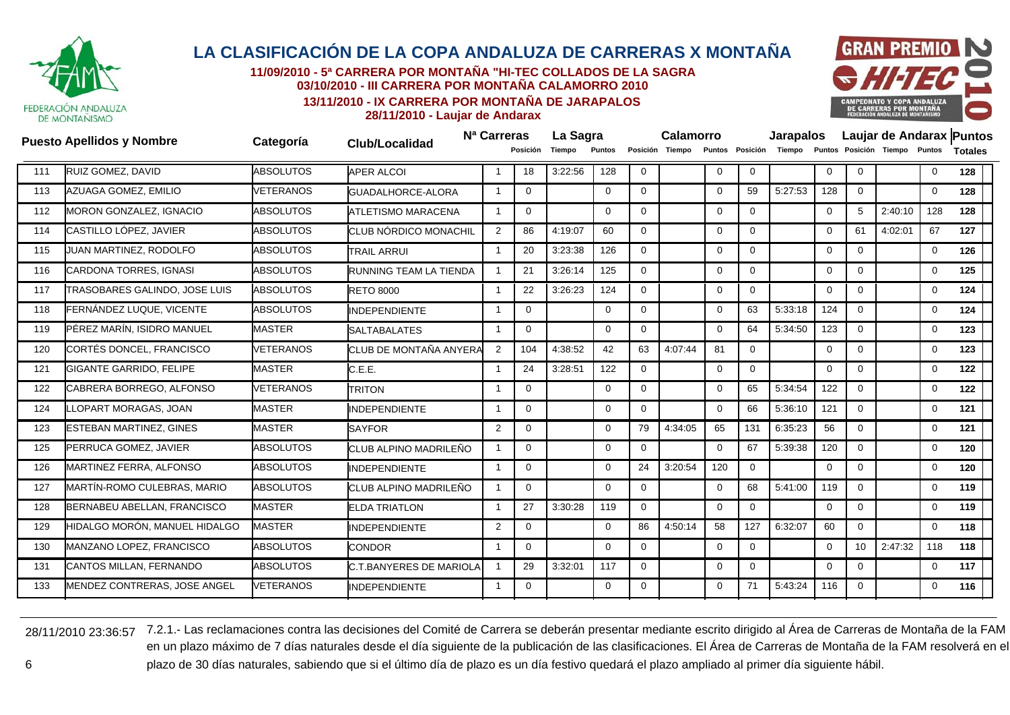

**11/09/2010 - 5ª CARRERA POR MONTAÑA "HI-TEC COLLADOS DE LA SAGRA03/10/2010 - III CARRERA POR MONTAÑA CALAMORRO 2010**

**13/11/2010 - IX CARRERA POR MONTAÑA DE JARAPALOS**



**28/11/2010 - Laujar de Andarax**

|     | <b>Puesto Apellidos y Nombre</b>   | Categoría        | <b>Club/Localidad</b>          | N <sup>a</sup> Carreras |              | La Sagra |             |              | Calamorro       |             |                 | <b>Jarapalos</b> |                |              |                               |                | Laujar de Andarax Puntos |
|-----|------------------------------------|------------------|--------------------------------|-------------------------|--------------|----------|-------------|--------------|-----------------|-------------|-----------------|------------------|----------------|--------------|-------------------------------|----------------|--------------------------|
|     |                                    |                  |                                |                         | Posición     | Tiempo   | Puntos      |              | Posición Tiempo |             | Puntos Posición | Tiempo           |                |              | Puntos Posición Tiempo Puntos |                | <b>Totales</b>           |
| 111 | RUIZ GOMEZ, DAVID                  | <b>ABSOLUTOS</b> | <b>APER ALCOI</b>              |                         | 18           | 3:22:56  | 128         | $\mathbf 0$  |                 | $\mathbf 0$ | $\mathbf 0$     |                  | $\mathbf 0$    | $\Omega$     |                               | $\mathbf 0$    | 128                      |
| 113 | AZUAGA GOMEZ, EMILIO               | <b>VETERANOS</b> | GUADALHORCE-ALORA              |                         | $\Omega$     |          | $\Omega$    | $\Omega$     |                 | $\Omega$    | 59              | 5:27:53          | 128            | $\Omega$     |                               | $\mathbf 0$    | 128                      |
| 112 | MORON GONZALEZ, IGNACIO            | <b>ABSOLUTOS</b> | <b>ATLETISMO MARACENA</b>      | -1                      | $\mathbf{0}$ |          | $\mathbf 0$ | $\mathbf 0$  |                 | $\mathbf 0$ | $\mathbf 0$     |                  | 0              | 5            | 2:40:10                       | 128            | 128                      |
| 114 | CASTILLO LÓPEZ, JAVIER             | <b>ABSOLUTOS</b> | CLUB NÓRDICO MONACHIL          | 2                       | 86           | 4:19:07  | 60          | $\Omega$     |                 | $\mathbf 0$ | $\mathbf{0}$    |                  | $\overline{0}$ | 61           | 4:02:01                       | 67             | 127                      |
| 115 | JUAN MARTINEZ, RODOLFO             | <b>ABSOLUTOS</b> | <b>TRAIL ARRUI</b>             |                         | 20           | 3:23:38  | 126         | $\mathbf 0$  |                 | $\Omega$    | $\mathbf 0$     |                  | $\mathbf 0$    | $\Omega$     |                               | $\mathbf 0$    | 126                      |
| 116 | <b>CARDONA TORRES, IGNASI</b>      | <b>ABSOLUTOS</b> | RUNNING TEAM LA TIENDA         |                         | 21           | 3:26:14  | 125         | 0            |                 | $\mathbf 0$ | $\mathbf 0$     |                  | $\mathbf 0$    | $\mathbf 0$  |                               | $\mathbf 0$    | 125                      |
| 117 | TRASOBARES GALINDO, JOSE LUIS      | <b>ABSOLUTOS</b> | <b>RETO 8000</b>               | $\overline{\mathbf{1}}$ | 22           | 3:26:23  | 124         | $\Omega$     |                 | $\Omega$    | $\mathbf{0}$    |                  | $\Omega$       | $\Omega$     |                               | $\overline{0}$ | 124                      |
| 118 | FERNÁNDEZ LUQUE, VICENTE           | <b>ABSOLUTOS</b> | <b>INDEPENDIENTE</b>           | -1                      | $\mathbf 0$  |          | 0           | $\mathbf 0$  |                 | $\mathbf 0$ | 63              | 5:33:18          | 124            | $\Omega$     |                               | $\mathbf 0$    | 124                      |
| 119 | PÉREZ MARÍN, ISIDRO MANUEL         | <b>MASTER</b>    | <b>SALTABALATES</b>            | $\overline{\mathbf{1}}$ | $\Omega$     |          | $\Omega$    | $\Omega$     |                 | $\Omega$    | 64              | 5:34:50          | 123            | $\Omega$     |                               | $\mathbf 0$    | 123                      |
| 120 | CORTÉS DONCEL, FRANCISCO           | <b>VETERANOS</b> | CLUB DE MONTAÑA ANYERA         | $\overline{2}$          | 104          | 4:38:52  | 42          | 63           | 4:07:44         | 81          | $\mathbf 0$     |                  | $\mathbf 0$    | $\mathbf{0}$ |                               | $\mathbf 0$    | 123                      |
| 121 | <b>GIGANTE GARRIDO, FELIPE</b>     | <b>MASTER</b>    | C.E.E.                         | -1                      | 24           | 3:28:51  | 122         | 0            |                 | $\mathbf 0$ | $\mathbf{0}$    |                  | $\mathbf{0}$   | $\Omega$     |                               | $\overline{0}$ | 122                      |
| 122 | CABRERA BORREGO, ALFONSO           | <b>VETERANOS</b> | <b>TRITON</b>                  |                         | $\Omega$     |          | $\Omega$    | $\mathbf 0$  |                 | $\Omega$    | 65              | 5:34:54          | 122            | $\Omega$     |                               | $\mathbf 0$    | 122                      |
| 124 | LOPART MORAGAS, JOAN               | <b>MASTER</b>    | <b>INDEPENDIENTE</b>           |                         | $\mathbf 0$  |          | 0           | 0            |                 | $\mathbf 0$ | 66              | 5:36:10          | 121            | $\Omega$     |                               | 0              | 121                      |
| 123 | <b>ESTEBAN MARTINEZ, GINES</b>     | <b>MASTER</b>    | <b>SAYFOR</b>                  | $\overline{2}$          | $\Omega$     |          | $\Omega$    | 79           | 4:34:05         | 65          | 131             | 6:35:23          | 56             | $\Omega$     |                               | $\overline{0}$ | 121                      |
| 125 | PERRUCA GOMEZ, JAVIER              | <b>ABSOLUTOS</b> | CLUB ALPINO MADRILEÑO          | -1                      | $\Omega$     |          | $\Omega$    | $\mathbf 0$  |                 | $\mathbf 0$ | 67              | 5:39:38          | 120            | $\Omega$     |                               | $\mathbf 0$    | 120                      |
| 126 | MARTINEZ FERRA, ALFONSO            | <b>ABSOLUTOS</b> | <b>INDEPENDIENTE</b>           | $\overline{\mathbf{1}}$ | $\Omega$     |          | $\Omega$    | 24           | 3:20:54         | 120         | $\mathbf 0$     |                  | $\Omega$       | $\Omega$     |                               | $\mathbf 0$    | 120                      |
| 127 | <b>MARTÍN-ROMO CULEBRAS, MARIO</b> | <b>ABSOLUTOS</b> | CLUB ALPINO MADRILEÑO          | $\overline{1}$          | $\Omega$     |          | $\Omega$    | $\Omega$     |                 | $\Omega$    | 68              | 5:41:00          | 119            | $\Omega$     |                               | $\mathbf 0$    | 119                      |
| 128 | BERNABEU ABELLAN, FRANCISCO        | <b>MASTER</b>    | <b>ELDA TRIATLON</b>           | -1                      | 27           | 3:30:28  | 119         | $\mathbf{0}$ |                 | $\mathbf 0$ | $\mathbf 0$     |                  | $\mathbf{0}$   | $\Omega$     |                               | $\mathbf 0$    | 119                      |
| 129 | HIDALGO MORÓN, MANUEL HIDALGO      | <b>MASTER</b>    | <b>INDEPENDIENTE</b>           | $\overline{2}$          | $\Omega$     |          | $\Omega$    | 86           | 4:50:14         | 58          | 127             | 6:32:07          | 60             | $\Omega$     |                               | $\mathbf 0$    | 118                      |
| 130 | MANZANO LOPEZ, FRANCISCO           | <b>ABSOLUTOS</b> | <b>CONDOR</b>                  |                         | 0            |          | $\Omega$    | 0            |                 | $\mathbf 0$ | $\mathbf 0$     |                  | $\mathbf 0$    | 10           | 2:47:32                       | 118            | 118                      |
| 131 | CANTOS MILLAN, FERNANDO            | <b>ABSOLUTOS</b> | <b>C.T.BANYERES DE MARIOLA</b> |                         | 29           | 3:32:01  | 117         | $\Omega$     |                 | $\Omega$    | $\mathbf{0}$    |                  | $\Omega$       | $\Omega$     |                               | $\overline{0}$ | 117                      |
| 133 | MENDEZ CONTRERAS, JOSE ANGEL       | <b>VETERANOS</b> | <b>INDEPENDIENTE</b>           |                         | $\Omega$     |          | $\Omega$    | $\Omega$     |                 | $\Omega$    | 71              | 5:43:24          | 116            | $\Omega$     |                               | $\mathbf 0$    | 116                      |
|     |                                    |                  |                                |                         |              |          |             |              |                 |             |                 |                  |                |              |                               |                |                          |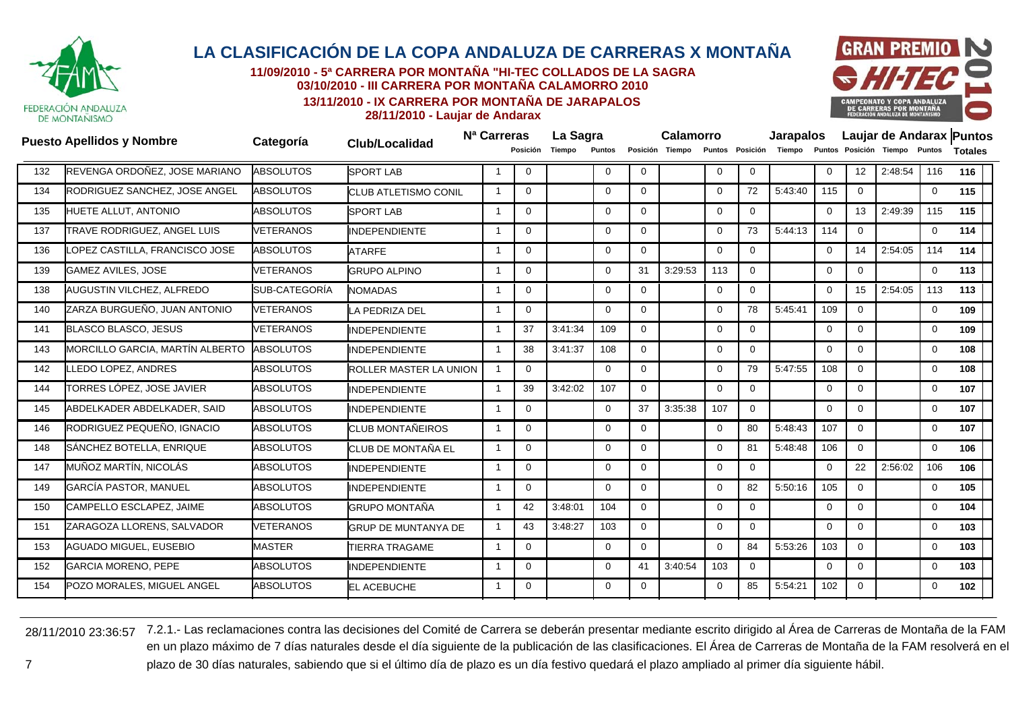

**11/09/2010 - 5ª CARRERA POR MONTAÑA "HI-TEC COLLADOS DE LA SAGRA03/10/2010 - III CARRERA POR MONTAÑA CALAMORRO 2010**

**13/11/2010 - IX CARRERA POR MONTAÑA DE JARAPALOS**



**28/11/2010 - Laujar de Andarax**

|     | <b>Puesto Apellidos y Nombre</b>       | Categoría        | <b>Club/Localidad</b>         | N <sup>a</sup> Carreras |                         |             | La Sagra |             |              | <b>Calamorro</b> |             |              | <b>Jarapalos</b>       |                |              |                               |             | Laujar de Andarax Puntos |  |
|-----|----------------------------------------|------------------|-------------------------------|-------------------------|-------------------------|-------------|----------|-------------|--------------|------------------|-------------|--------------|------------------------|----------------|--------------|-------------------------------|-------------|--------------------------|--|
|     |                                        |                  |                               |                         |                         | Posición    | Tiempo   | Puntos      |              | Posición Tiempo  |             |              | Puntos Posición Tiempo |                |              | Puntos Posición Tiempo Puntos |             | <b>Totales</b>           |  |
| 132 | REVENGA ORDOÑEZ, JOSE MARIANO          | <b>ABSOLUTOS</b> | <b>SPORT LAB</b>              |                         |                         | 0           |          | $\mathbf 0$ | $\mathbf 0$  |                  | $\mathbf 0$ | $\mathbf{0}$ |                        | $\mathbf 0$    | 12           | 2:48:54                       | 116         | 116                      |  |
| 134 | RODRIGUEZ SANCHEZ, JOSE ANGEL          | <b>ABSOLUTOS</b> | <b>CLUB ATLETISMO CONIL</b>   |                         | -1                      | $\Omega$    |          | $\Omega$    | $\Omega$     |                  | $\Omega$    | 72           | 5:43:40                | 115            | $\Omega$     |                               | $\mathbf 0$ | 115                      |  |
| 135 | HUETE ALLUT, ANTONIO                   | <b>ABSOLUTOS</b> | <b>SPORT LAB</b>              |                         | -1                      | $\mathbf 0$ |          | $\mathbf 0$ | $\mathbf 0$  |                  | $\mathbf 0$ | $\mathbf 0$  |                        | $\mathbf 0$    | 13           | 2:49:39                       | 115         | 115                      |  |
| 137 | TRAVE RODRIGUEZ, ANGEL LUIS            | <b>VETERANOS</b> | <b>INDEPENDIENTE</b>          |                         | -1                      | $\Omega$    |          | $\Omega$    | $\Omega$     |                  | $\Omega$    | 73           | 5:44:13                | 114            | $\Omega$     |                               | $\mathbf 0$ | 114                      |  |
| 136 | OPEZ CASTILLA, FRANCISCO JOSE          | <b>ABSOLUTOS</b> | <b>ATARFE</b>                 |                         | -1                      | $\Omega$    |          | $\Omega$    | $\Omega$     |                  | $\Omega$    | $\mathbf{0}$ |                        | $\overline{0}$ | 14           | 2:54:05                       | 114         | 114                      |  |
| 139 | <b>GAMEZ AVILES, JOSE</b>              | <b>VETERANOS</b> | <b>GRUPO ALPINO</b>           |                         | -1                      | 0           |          | $\Omega$    | 31           | 3:29:53          | 113         | $\mathbf 0$  |                        | $\mathbf 0$    | $\mathbf{0}$ |                               | $\mathbf 0$ | 113                      |  |
| 138 | AUGUSTIN VILCHEZ, ALFREDO              | SUB-CATEGORÍA    | <b>NOMADAS</b>                |                         | -1                      | $\Omega$    |          | $\Omega$    | $\Omega$     |                  | $\mathbf 0$ | $\mathbf{0}$ |                        | $\Omega$       | 15           | 2:54:05                       | 113         | 113                      |  |
| 140 | ZARZA BURGUEÑO, JUAN ANTONIO           | <b>VETERANOS</b> | <b>LA PEDRIZA DEL</b>         |                         | -1                      | 0           |          | $\Omega$    | $\mathbf 0$  |                  | $\Omega$    | 78           | 5:45:41                | 109            | $\mathbf 0$  |                               | 0           | 109                      |  |
| 141 | <b>BLASCO BLASCO, JESUS</b>            | VETERANOS        | <b>INDEPENDIENTE</b>          |                         | -1                      | 37          | 3:41:34  | 109         | $\Omega$     |                  | $\Omega$    | $\Omega$     |                        | $\mathbf 0$    | $\Omega$     |                               | 0           | 109                      |  |
| 143 | <b>MORCILLO GARCIA, MARTÍN ALBERTO</b> | <b>ABSOLUTOS</b> | <b>INDEPENDIENTE</b>          |                         |                         | 38          | 3:41:37  | 108         | $\mathbf{0}$ |                  | $\mathbf 0$ | $\mathbf 0$  |                        | $\mathbf 0$    | $\Omega$     |                               | $\mathbf 0$ | 108                      |  |
| 142 | LLEDO LOPEZ, ANDRES                    | <b>ABSOLUTOS</b> | <b>ROLLER MASTER LA UNION</b> |                         |                         | 0           |          | $\Omega$    | $\mathbf{0}$ |                  | $\mathbf 0$ | 79           | 5:47:55                | 108            | $\Omega$     |                               | 0           | 108                      |  |
| 144 | TORRES LÓPEZ, JOSE JAVIER              | <b>ABSOLUTOS</b> | <b>INDEPENDIENTE</b>          |                         | -1                      | 39          | 3:42:02  | 107         | $\Omega$     |                  | $\Omega$    | $\mathbf{0}$ |                        | $\mathbf 0$    | $\Omega$     |                               | 0           | 107                      |  |
| 145 | ABDELKADER ABDELKADER, SAID            | <b>ABSOLUTOS</b> | <b>INDEPENDIENTE</b>          |                         | -1                      | $\Omega$    |          | $\Omega$    | 37           | 3:35:38          | 107         | $\mathbf{0}$ |                        | $\mathbf 0$    | $\Omega$     |                               | 0           | 107                      |  |
| 146 | RODRIGUEZ PEQUEÑO, IGNACIO             | <b>ABSOLUTOS</b> | <b>CLUB MONTAÑEIROS</b>       |                         | $\overline{\mathbf{1}}$ | $\Omega$    |          | $\Omega$    | $\Omega$     |                  | $\Omega$    | 80           | 5:48:43                | 107            | $\Omega$     |                               | $\mathbf 0$ | 107                      |  |
| 148 | SÁNCHEZ BOTELLA, ENRIQUE               | <b>ABSOLUTOS</b> | CLUB DE MONTAÑA EL            |                         | -1                      | $\Omega$    |          | $\Omega$    | $\mathbf 0$  |                  | $\Omega$    | 81           | 5:48:48                | 106            | $\mathbf{0}$ |                               | 0           | 106                      |  |
| 147 | MUÑOZ MARTÍN, NICOLÁS                  | <b>ABSOLUTOS</b> | <b>INDEPENDIENTE</b>          |                         | -1                      | $\Omega$    |          | $\Omega$    | $\Omega$     |                  | $\Omega$    | $\Omega$     |                        | $\Omega$       | 22           | 2:56:02                       | 106         | 106                      |  |
| 149 | <b>GARCÍA PASTOR, MANUEL</b>           | <b>ABSOLUTOS</b> | <b>INDEPENDIENTE</b>          |                         | $\overline{\mathbf{1}}$ | $\Omega$    |          | $\Omega$    | $\Omega$     |                  | $\Omega$    | 82           | 5:50:16                | 105            | $\Omega$     |                               | $\mathbf 0$ | 105                      |  |
| 150 | CAMPELLO ESCLAPEZ, JAIME               | <b>ABSOLUTOS</b> | <b>GRUPO MONTAÑA</b>          |                         | -1                      | 42          | 3:48:01  | 104         | $\mathbf{0}$ |                  | $\mathbf 0$ | $\mathbf{0}$ |                        | $\mathbf 0$    | $\mathbf{0}$ |                               | 0           | 104                      |  |
| 151 | ZARAGOZA LLORENS, SALVADOR             | <b>VETERANOS</b> | <b>GRUP DE MUNTANYA DE</b>    |                         |                         | 43          | 3:48:27  | 103         | $\mathbf{0}$ |                  | $\Omega$    | $\mathbf{0}$ |                        | $\Omega$       | $\Omega$     |                               | 0           | 103                      |  |
| 153 | AGUADO MIGUEL, EUSEBIO                 | <b>MASTER</b>    | <b>TIERRA TRAGAME</b>         |                         | -1                      | $\Omega$    |          | $\Omega$    | $\Omega$     |                  | $\Omega$    | 84           | 5:53:26                | 103            | $\mathbf 0$  |                               | 0           | 103                      |  |
| 152 | <b>GARCIA MORENO, PEPE</b>             | <b>ABSOLUTOS</b> | <b>INDEPENDIENTE</b>          |                         | -1                      | $\Omega$    |          | $\Omega$    | 41           | 3:40:54          | 103         | $\Omega$     |                        | $\Omega$       | $\Omega$     |                               | $\mathbf 0$ | 103                      |  |
| 154 | POZO MORALES, MIGUEL ANGEL             | <b>ABSOLUTOS</b> | <b>EL ACEBUCHE</b>            |                         |                         | $\Omega$    |          | $\Omega$    | $\Omega$     |                  | $\Omega$    | 85           | 5:54:21                | 102            | $\Omega$     |                               | 0           | 102                      |  |
|     |                                        |                  |                               |                         |                         |             |          |             |              |                  |             |              |                        |                |              |                               |             |                          |  |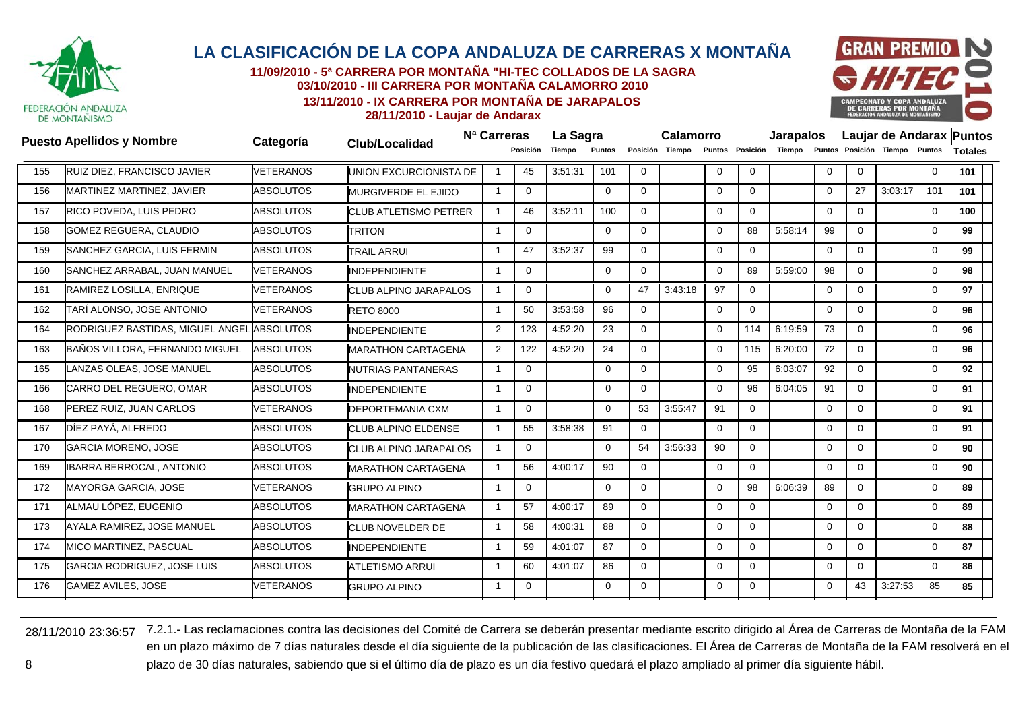

**11/09/2010 - 5ª CARRERA POR MONTAÑA "HI-TEC COLLADOS DE LA SAGRA03/10/2010 - III CARRERA POR MONTAÑA CALAMORRO 2010**

**13/11/2010 - IX CARRERA POR MONTAÑA DE JARAPALOS**



**28/11/2010 - Laujar de Andarax**

|     | <b>Puesto Apellidos y Nombre</b>           | Categoría        | Club/Localidad                | N <sup>a</sup> Carreras | Posición     | La Sagra<br>Tiempo | Puntos         |              | Calamorro<br>Posición Tiempo |             |              | <b>Jarapalos</b><br>Puntos Posición Tiempo |              |             | Puntos Posición Tiempo Puntos |             | Laujar de Andarax Puntos<br><b>Totales</b> |
|-----|--------------------------------------------|------------------|-------------------------------|-------------------------|--------------|--------------------|----------------|--------------|------------------------------|-------------|--------------|--------------------------------------------|--------------|-------------|-------------------------------|-------------|--------------------------------------------|
| 155 | RUIZ DIEZ, FRANCISCO JAVIER                | <b>VETERANOS</b> | UNION EXCURCIONISTA DE        |                         | 45           | 3:51:31            | 101            | $\mathbf 0$  |                              | $\mathbf 0$ | $\mathbf{0}$ |                                            | $\mathbf 0$  | $\Omega$    |                               | $\mathbf 0$ | 101                                        |
| 156 | MARTINEZ MARTINEZ, JAVIER                  | <b>ABSOLUTOS</b> | <b>MURGIVERDE EL EJIDO</b>    | $\mathbf{1}$            | $\mathbf{0}$ |                    | $\overline{0}$ | $\Omega$     |                              | $\mathbf 0$ | $\mathbf 0$  |                                            | $\mathbf{0}$ | 27          | 3:03:17                       | 101         | 101                                        |
| 157 | RICO POVEDA, LUIS PEDRO                    | <b>ABSOLUTOS</b> | <b>ICLUB ATLETISMO PETRER</b> | -1                      | 46           | 3:52:11            | 100            | $\Omega$     |                              | $\mathbf 0$ | $\mathbf 0$  |                                            | $\mathbf 0$  | $\Omega$    |                               | $\mathbf 0$ | 100                                        |
| 158 | <b>GOMEZ REGUERA, CLAUDIO</b>              | <b>ABSOLUTOS</b> | <b>TRITON</b>                 | -1                      | 0            |                    | 0              | 0            |                              | $\Omega$    | 88           | 5:58:14                                    | 99           | $\Omega$    |                               | 0           | 99                                         |
| 159 | SANCHEZ GARCIA, LUIS FERMIN                | <b>ABSOLUTOS</b> | <b>TRAIL ARRUI</b>            | -1                      | 47           | 3:52:37            | 99             | $\Omega$     |                              | $\Omega$    | $\mathbf 0$  |                                            | $\Omega$     | $\Omega$    |                               | $\mathbf 0$ | 99                                         |
| 160 | SANCHEZ ARRABAL, JUAN MANUEL               | <b>VETERANOS</b> | <b>INDEPENDIENTE</b>          | $\overline{1}$          | $\mathbf 0$  |                    | $\mathbf 0$    | $\mathbf 0$  |                              | $\Omega$    | 89           | 5:59:00                                    | 98           | $\Omega$    |                               | 0           | 98                                         |
| 161 | RAMIREZ LOSILLA, ENRIQUE                   | <b>VETERANOS</b> | <b>CLUB ALPINO JARAPALOS</b>  | $\overline{1}$          | $\mathbf{0}$ |                    | $\Omega$       | 47           | 3:43:18                      | 97          | $\mathbf{0}$ |                                            | $\mathbf{0}$ | $\Omega$    |                               | 0           | 97                                         |
| 162 | TARÍ ALONSO, JOSE ANTONIO                  | VETERANOS        | <b>RETO 8000</b>              | -1                      | 50           | 3:53:58            | 96             | 0            |                              | $\mathbf 0$ | $\mathbf{0}$ |                                            | $\mathbf 0$  | $\Omega$    |                               | $\mathbf 0$ | 96                                         |
| 164 | RODRIGUEZ BASTIDAS, MIGUEL ANGEL ABSOLUTOS |                  | <b>INDEPENDIENTE</b>          | 2                       | 123          | 4:52:20            | 23             | $\Omega$     |                              | $\Omega$    | 114          | 6:19:59                                    | 73           | $\Omega$    |                               | 0           | 96                                         |
| 163 | BAÑOS VILLORA, FERNANDO MIGUEL             | <b>ABSOLUTOS</b> | <b>MARATHON CARTAGENA</b>     | 2                       | 122          | 4:52:20            | 24             | $\mathbf{0}$ |                              | $\Omega$    | 115          | 6:20:00                                    | 72           | $\Omega$    |                               | $\mathbf 0$ | 96                                         |
| 165 | LANZAS OLEAS, JOSE MANUEL                  | <b>ABSOLUTOS</b> | NUTRIAS PANTANERAS            | -1                      | $\mathbf{0}$ |                    | $\Omega$       | 0            |                              | $\mathbf 0$ | 95           | 6:03:07                                    | 92           | 0           |                               | 0           | 92                                         |
| 166 | CARRO DEL REGUERO, OMAR                    | <b>ABSOLUTOS</b> | <b>INDEPENDIENTE</b>          | $\overline{1}$          | $\mathbf 0$  |                    | 0              | 0            |                              | $\Omega$    | 96           | 6:04:05                                    | 91           | $\mathbf 0$ |                               | $\mathbf 0$ | 91                                         |
| 168 | PEREZ RUIZ, JUAN CARLOS                    | <b>VETERANOS</b> | DEPORTEMANIA CXM              | $\overline{1}$          | $\Omega$     |                    | $\Omega$       | 53           | 3:55:47                      | 91          | $\mathbf{0}$ |                                            | $\mathbf 0$  | $\Omega$    |                               | $\mathbf 0$ | 91                                         |
| 167 | DÍEZ PAYÁ, ALFREDO                         | <b>ABSOLUTOS</b> | CLUB ALPINO ELDENSE           | $\overline{1}$          | 55           | 3:58:38            | 91             | $\mathbf 0$  |                              | $\Omega$    | $\Omega$     |                                            | $\mathbf{0}$ | $\Omega$    |                               | 0           | 91                                         |
| 170 | GARCIA MORENO, JOSE                        | <b>ABSOLUTOS</b> | CLUB ALPINO JARAPALOS         | -1                      | $\mathbf 0$  |                    | 0              | 54           | 3:56:33                      | 90          | $\mathbf{0}$ |                                            | $\mathbf 0$  | $\Omega$    |                               | 0           | 90                                         |
| 169 | IBARRA BERROCAL, ANTONIO                   | <b>ABSOLUTOS</b> | <b>MARATHON CARTAGENA</b>     | $\overline{1}$          | 56           | 4:00:17            | 90             | $\Omega$     |                              | $\mathbf 0$ | $\mathbf{0}$ |                                            | $\mathbf{0}$ | $\Omega$    |                               | 0           | 90                                         |
| 172 | MAYORGA GARCIA, JOSE                       | VETERANOS        | <b>GRUPO ALPINO</b>           | $\overline{1}$          | $\Omega$     |                    | $\Omega$       | $\Omega$     |                              | $\Omega$    | 98           | 6:06:39                                    | 89           | $\Omega$    |                               | $\mathbf 0$ | 89                                         |
| 171 | ALMAU LÓPEZ, EUGENIO                       | <b>ABSOLUTOS</b> | <b>MARATHON CARTAGENA</b>     | -1                      | 57           | 4:00:17            | 89             | $\mathbf{0}$ |                              | $\mathbf 0$ | $\mathbf{0}$ |                                            | $\mathbf 0$  | $\mathbf 0$ |                               | 0           | 89                                         |
| 173 | AYALA RAMIREZ, JOSE MANUEL                 | <b>ABSOLUTOS</b> | <b>CLUB NOVELDER DE</b>       | -1                      | 58           | 4:00:31            | 88             | 0            |                              | $\Omega$    | $\mathbf 0$  |                                            | $\mathbf 0$  | $\Omega$    |                               | 0           | 88                                         |
| 174 | MICO MARTINEZ, PASCUAL                     | <b>ABSOLUTOS</b> | <b>INDEPENDIENTE</b>          | -1                      | 59           | 4:01:07            | 87             | 0            |                              | $\mathbf 0$ | $\mathbf 0$  |                                            | $\mathbf 0$  | $\Omega$    |                               | $\mathbf 0$ | 87                                         |
| 175 | GARCIA RODRIGUEZ, JOSE LUIS                | <b>ABSOLUTOS</b> | <b>ATLETISMO ARRUI</b>        | $\overline{1}$          | 60           | 4:01:07            | 86             | $\mathbf 0$  |                              | $\Omega$    | $\Omega$     |                                            | $\mathbf{0}$ | $\Omega$    |                               | 0           | 86                                         |
| 176 | <b>GAMEZ AVILES, JOSE</b>                  | <b>VETERANOS</b> | <b>GRUPO ALPINO</b>           |                         | $\Omega$     |                    | $\Omega$       | $\Omega$     |                              | $\Omega$    | $\Omega$     |                                            | $\Omega$     | 43          | 3:27:53                       | 85          | 85                                         |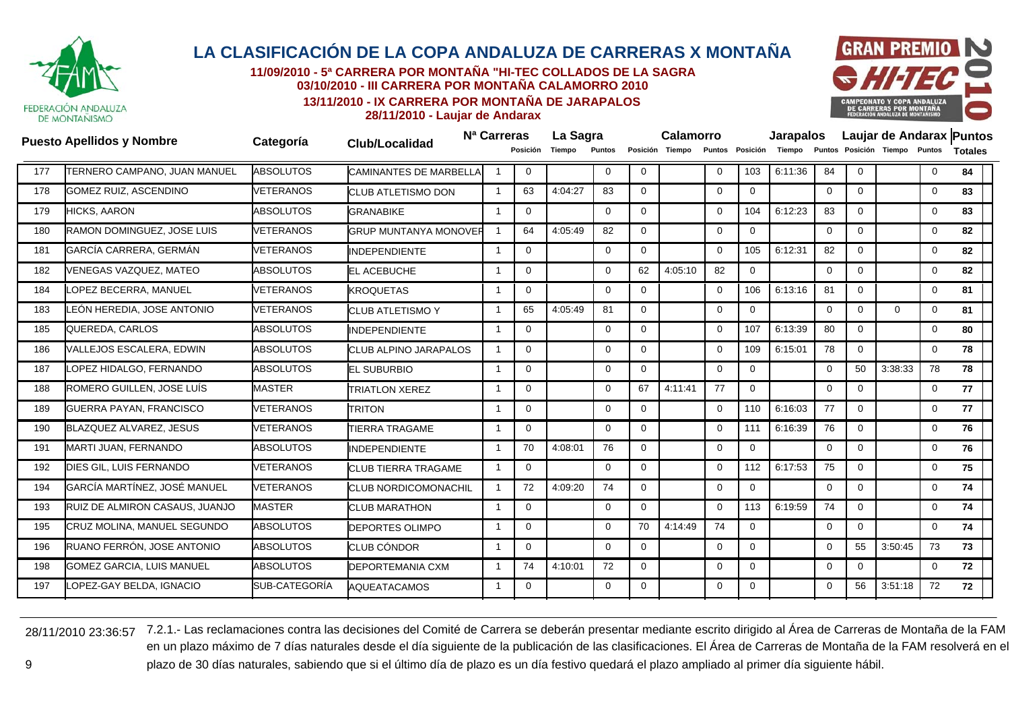

**11/09/2010 - 5ª CARRERA POR MONTAÑA "HI-TEC COLLADOS DE LA SAGRA03/10/2010 - III CARRERA POR MONTAÑA CALAMORRO 2010**

**13/11/2010 - IX CARRERA POR MONTAÑA DE JARAPALOS**



**28/11/2010 - Laujar de Andarax**

|     | <b>Puesto Apellidos y Nombre</b>    | Categoría        | <b>Club/Localidad</b>         | N <sup>a</sup> Carreras |                | La Sagra |              |             | Calamorro       |          |                 | <b>Jarapalos</b> |                |              |                               |             | Laujar de Andarax Puntos |
|-----|-------------------------------------|------------------|-------------------------------|-------------------------|----------------|----------|--------------|-------------|-----------------|----------|-----------------|------------------|----------------|--------------|-------------------------------|-------------|--------------------------|
|     |                                     |                  |                               |                         | Posición       | Tiempo   | Puntos       |             | Posición Tiempo |          | Puntos Posición | Tiempo           |                |              | Puntos Posición Tiempo Puntos |             | <b>Totales</b>           |
| 177 | <b>TERNERO CAMPANO, JUAN MANUEL</b> | <b>ABSOLUTOS</b> | <b>CAMINANTES DE MARBELLA</b> |                         | $\mathbf 0$    |          | 0            | $\mathbf 0$ |                 | $\Omega$ | 103             | 6:11:36          | 84             | $\mathbf{0}$ |                               | $\mathbf 0$ | 84                       |
| 178 | <b>GOMEZ RUIZ, ASCENDINO</b>        | <b>VETERANOS</b> | <b>CLUB ATLETISMO DON</b>     | -1                      | 63             | 4:04:27  | 83           | $\Omega$    |                 | $\Omega$ | $\Omega$        |                  | $\Omega$       | $\Omega$     |                               | $\mathbf 0$ | 83                       |
| 179 | <b>HICKS, AARON</b>                 | <b>ABSOLUTOS</b> | <b>GRANABIKE</b>              | -1                      | $\mathbf 0$    |          | $\mathbf 0$  | $\Omega$    |                 | $\Omega$ | 104             | 6:12:23          | 83             | $\mathbf{0}$ |                               | $\mathbf 0$ | 83                       |
| 180 | RAMON DOMINGUEZ, JOSE LUIS          | <b>VETERANOS</b> | <b>GRUP MUNTANYA MONOVER</b>  | -1                      | 64             | 4:05:49  | 82           | $\Omega$    |                 | $\Omega$ | $\mathbf{0}$    |                  | $\overline{0}$ | $\Omega$     |                               | $\mathbf 0$ | 82                       |
| 181 | GARCÍA CARRERA, GERMÁN              | <b>VETERANOS</b> | <b>INDEPENDIENTE</b>          | -1                      | $\Omega$       |          | $\Omega$     | $\Omega$    |                 | $\Omega$ | 105             | 6:12:31          | 82             | $\Omega$     |                               | $\mathbf 0$ | 82                       |
| 182 | VENEGAS VAZQUEZ. MATEO              | <b>ABSOLUTOS</b> | <b>EL ACEBUCHE</b>            | -1                      | $\mathbf 0$    |          | 0            | 62          | 4:05:10         | 82       | $\mathbf{0}$    |                  | $\mathbf 0$    | $\mathbf 0$  |                               | $\mathbf 0$ | 82                       |
| 184 | OPEZ BECERRA, MANUEL                | <b>VETERANOS</b> | <b>KROQUETAS</b>              | $\overline{1}$          | $\Omega$       |          | $\Omega$     | $\Omega$    |                 | $\Omega$ | 106             | 6:13:16          | 81             | $\Omega$     |                               | $\mathbf 0$ | 81                       |
| 183 | EÓN HEREDIA, JOSE ANTONIO           | VETERANOS        | <b>CLUB ATLETISMO Y</b>       | -1                      | 65             | 4:05:49  | 81           | $\Omega$    |                 | $\Omega$ | $\mathbf 0$     |                  | $\mathbf 0$    | $\mathbf{0}$ | $\Omega$                      | $\mathbf 0$ | 81                       |
| 185 | QUEREDA, CARLOS                     | <b>ABSOLUTOS</b> | <b>INDEPENDIENTE</b>          | -1                      | $\Omega$       |          | $\Omega$     | $\Omega$    |                 | $\Omega$ | 107             | 6:13:39          | 80             | $\Omega$     |                               | $\mathbf 0$ | 80                       |
| 186 | VALLEJOS ESCALERA, EDWIN            | <b>ABSOLUTOS</b> | <b>CLUB ALPINO JARAPALOS</b>  | $\overline{1}$          | $\mathbf 0$    |          | $\mathbf 0$  | $\Omega$    |                 | $\Omega$ | 109             | 6:15:01          | 78             | $\mathbf 0$  |                               | $\mathbf 0$ | 78                       |
| 187 | OPEZ HIDALGO, FERNANDO              | <b>ABSOLUTOS</b> | <b>EL SUBURBIO</b>            | -1                      | $\overline{0}$ |          | $\mathbf{0}$ | $\Omega$    |                 | $\Omega$ | $\mathbf{0}$    |                  | $\overline{0}$ | 50           | 3:38:33                       | 78          | 78                       |
| 188 | ROMERO GUILLEN, JOSE LUÍS           | <b>MASTER</b>    | <b>TRIATLON XEREZ</b>         | -1                      | $\Omega$       |          | $\Omega$     | 67          | 4:11:41         | 77       | $\mathbf{0}$    |                  | $\Omega$       | $\Omega$     |                               | $\mathbf 0$ | 77                       |
| 189 | <b>GUERRA PAYAN, FRANCISCO</b>      | <b>VETERANOS</b> | <b>TRITON</b>                 | -1                      | $\mathbf 0$    |          | $\Omega$     | $\Omega$    |                 | $\Omega$ | 110             | 6:16:03          | 77             | $\mathbf 0$  |                               | 0           | 77                       |
| 190 | BLAZQUEZ ALVAREZ, JESUS             | <b>VETERANOS</b> | <b>TIERRA TRAGAME</b>         | $\overline{1}$          | $\Omega$       |          | $\Omega$     | $\Omega$    |                 | $\Omega$ | 111             | 6:16:39          | 76             | $\Omega$     |                               | 0           | 76                       |
| 191 | MARTI JUAN, FERNANDO                | <b>ABSOLUTOS</b> | <b>INDEPENDIENTE</b>          | -1                      | 70             | 4:08:01  | 76           | $\Omega$    |                 | $\Omega$ | $\mathbf 0$     |                  | $\mathbf 0$    | $\Omega$     |                               | 0           | 76                       |
| 192 | DIES GIL, LUIS FERNANDO             | <b>VETERANOS</b> | <b>CLUB TIERRA TRAGAME</b>    | -1                      | $\Omega$       |          | $\Omega$     | $\Omega$    |                 | $\Omega$ | 112             | 6:17:53          | 75             | $\Omega$     |                               | 0           | 75                       |
| 194 | GARCÍA MARTÍNEZ, JOSÉ MANUEL        | <b>VETERANOS</b> | <b>CLUB NORDICOMONACHIL</b>   | -1                      | 72             | 4:09:20  | 74           | $\Omega$    |                 | $\Omega$ | $\mathbf{0}$    |                  | $\mathbf 0$    | $\mathbf{0}$ |                               | $\mathbf 0$ | 74                       |
| 193 | RUIZ DE ALMIRON CASAUS, JUANJO      | <b>MASTER</b>    | <b>CLUB MARATHON</b>          | -1                      | $\mathbf{0}$   |          | $\mathbf{0}$ | $\Omega$    |                 | $\Omega$ | 113             | 6:19:59          | 74             | $\Omega$     |                               | 0           | 74                       |
| 195 | CRUZ MOLINA, MANUEL SEGUNDO         | <b>ABSOLUTOS</b> | <b>DEPORTES OLIMPO</b>        | -1                      | $\Omega$       |          | $\Omega$     | 70          | 4:14:49         | 74       | $\mathbf{0}$    |                  | $\Omega$       | $\Omega$     |                               | $\mathbf 0$ | 74                       |
| 196 | RUANO FERRÓN, JOSE ANTONIO          | <b>ABSOLUTOS</b> | <b>CLUB CÓNDOR</b>            | -1                      | $\mathbf 0$    |          | $\Omega$     | $\Omega$    |                 | $\Omega$ | $\mathbf 0$     |                  | $\mathbf 0$    | 55           | 3:50:45                       | 73          | 73                       |
| 198 | <b>GOMEZ GARCIA, LUIS MANUEL</b>    | <b>ABSOLUTOS</b> | <b>DEPORTEMANIA CXM</b>       | $\overline{1}$          | 74             | 4:10:01  | 72           | $\Omega$    |                 | $\Omega$ | $\Omega$        |                  | $\mathbf 0$    | $\Omega$     |                               | $\Omega$    | 72                       |
| 197 | OPEZ-GAY BELDA, IGNACIO             | SUB-CATEGORÍA    | <b>AQUEATACAMOS</b>           | -1                      | $\Omega$       |          | $\Omega$     | $\Omega$    |                 | $\Omega$ | $\Omega$        |                  | $\Omega$       | 56           | 3:51:18                       | 72          | 72                       |
|     |                                     |                  |                               |                         |                |          |              |             |                 |          |                 |                  |                |              |                               |             |                          |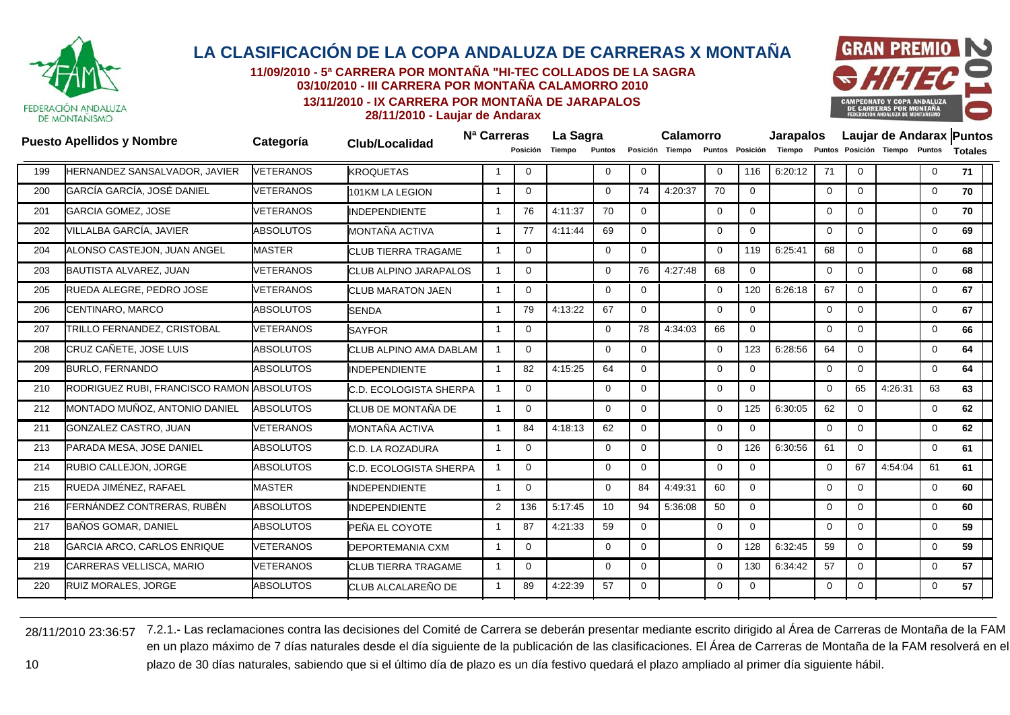

**11/09/2010 - 5ª CARRERA POR MONTAÑA "HI-TEC COLLADOS DE LA SAGRA03/10/2010 - III CARRERA POR MONTAÑA CALAMORRO 2010**

**13/11/2010 - IX CARRERA POR MONTAÑA DE JARAPALOS**



**28/11/2010 - Laujar de Andarax**

|     | <b>Puesto Apellidos y Nombre</b>          | Categoría        | <b>Club/Localidad</b>         | N <sup>a</sup> Carreras |                | La Sagra |             |              | Calamorro       |             |                 | <b>Jarapalos</b> |              |             |                               |              | Laujar de Andarax Puntos |
|-----|-------------------------------------------|------------------|-------------------------------|-------------------------|----------------|----------|-------------|--------------|-----------------|-------------|-----------------|------------------|--------------|-------------|-------------------------------|--------------|--------------------------|
|     |                                           |                  |                               |                         | Posición       | Tiempo   | Puntos      |              | Posición Tiempo |             | Puntos Posición | Tiempo           |              |             | Puntos Posición Tiempo Puntos |              | <b>Totales</b>           |
| 199 | <b>HERNANDEZ SANSALVADOR, JAVIER</b>      | <b>VETERANOS</b> | <b>KROQUETAS</b>              |                         | $\Omega$       |          | 0           | $\mathbf 0$  |                 | $\Omega$    | 116             | 6:20:12          | 71           | $\Omega$    |                               | $\mathbf 0$  | 71                       |
| 200 | GARCÍA GARCÍA, JOSÉ DANIEL                | VETERANOS        | 101KM LA LEGION               |                         | $\Omega$       |          | $\Omega$    | 74           | 4:20:37         | 70          | $\mathbf 0$     |                  | $\mathbf 0$  | $\Omega$    |                               | $\mathbf 0$  | 70                       |
| 201 | <b>GARCIA GOMEZ, JOSE</b>                 | <b>VETERANOS</b> | <b>INDEPENDIENTE</b>          | -1                      | 76             | 4:11:37  | 70          | $\mathbf 0$  |                 | $\mathbf 0$ | $\mathbf 0$     |                  | $\mathbf 0$  | $\Omega$    |                               | $\mathbf 0$  | 70                       |
| 202 | VILLALBA GARCÍA, JAVIER                   | <b>ABSOLUTOS</b> | MONTAÑA ACTIVA                | -1                      | 77             | 4:11:44  | 69          | $\mathbf{0}$ |                 | $\mathbf 0$ | $\mathbf 0$     |                  | $\mathbf 0$  | $\Omega$    |                               | $\mathbf 0$  | 69                       |
| 204 | ALONSO CASTEJON, JUAN ANGEL               | <b>MASTER</b>    | <b>CLUB TIERRA TRAGAME</b>    |                         | $\Omega$       |          | $\Omega$    | $\Omega$     |                 | $\Omega$    | 119             | 6:25:41          | 68           | $\Omega$    |                               | $\mathbf 0$  | 68                       |
| 203 | <b>BAUTISTA ALVAREZ, JUAN</b>             | <b>VETERANOS</b> | <b>CLUB ALPINO JARAPALOS</b>  | $\overline{\mathbf{1}}$ | $\overline{0}$ |          | $\mathbf 0$ | 76           | 4:27:48         | 68          | $\mathbf 0$     |                  | $\mathbf 0$  | $\mathbf 0$ |                               | $\mathbf 0$  | 68                       |
| 205 | RUEDA ALEGRE, PEDRO JOSE                  | <b>VETERANOS</b> | <b>CLUB MARATON JAEN</b>      | $\mathbf{1}$            | $\Omega$       |          | $\Omega$    | $\mathbf 0$  |                 | $\Omega$    | 120             | 6:26:18          | 67           | $\Omega$    |                               | $\mathbf 0$  | 67                       |
| 206 | CENTINARO, MARCO                          | <b>ABSOLUTOS</b> | <b>SENDA</b>                  |                         | 79             | 4:13:22  | 67          | $\Omega$     |                 | $\Omega$    | $\Omega$        |                  | $\Omega$     | $\Omega$    |                               | $\mathbf 0$  | 67                       |
| 207 | TRILLO FERNANDEZ, CRISTOBAL               | <b>VETERANOS</b> | <b>SAYFOR</b>                 | $\overline{1}$          | $\mathbf 0$    |          | $\mathbf 0$ | 78           | 4:34:03         | 66          | $\mathbf 0$     |                  | $\mathbf 0$  | $\Omega$    |                               | $\mathbf 0$  | 66                       |
| 208 | CRUZ CAÑETE, JOSE LUIS                    | <b>ABSOLUTOS</b> | CLUB ALPINO AMA DABLAM        |                         | $\Omega$       |          | $\Omega$    | $\Omega$     |                 | $\Omega$    | 123             | 6:28:56          | 64           | $\Omega$    |                               | $\mathbf 0$  | 64                       |
| 209 | <b>BURLO, FERNANDO</b>                    | <b>ABSOLUTOS</b> | <b>INDEPENDIENTE</b>          |                         | 82             | 4:15:25  | 64          | 0            |                 | $\mathbf 0$ | $\mathbf 0$     |                  | $\mathbf{0}$ | $\Omega$    |                               | $\mathbf 0$  | 64                       |
| 210 | RODRIGUEZ RUBI, FRANCISCO RAMON ABSOLUTOS |                  | <b>C.D. ECOLOGISTA SHERPA</b> |                         | $\Omega$       |          | $\Omega$    | $\Omega$     |                 | $\Omega$    | $\mathbf 0$     |                  | $\Omega$     | 65          | 4:26:31                       | 63           | 63                       |
| 212 | MONTADO MUÑOZ, ANTONIO DANIEL             | <b>ABSOLUTOS</b> | CLUB DE MONTAÑA DE            | -1                      | $\mathbf 0$    |          | $\Omega$    | $\mathbf 0$  |                 | $\mathbf 0$ | 125             | 6:30:05          | 62           | $\mathbf 0$ |                               | $\mathbf 0$  | 62                       |
| 211 | GONZALEZ CASTRO, JUAN                     | <b>VETERANOS</b> | MONTAÑA ACTIVA                | $\overline{1}$          | 84             | 4:18:13  | 62          | $\mathbf{0}$ |                 | $\mathbf 0$ | $\mathbf 0$     |                  | $\Omega$     | $\Omega$    |                               | $\mathbf 0$  | 62                       |
| 213 | PARADA MESA, JOSE DANIEL                  | <b>ABSOLUTOS</b> | C.D. LA ROZADURA              | -1                      | $\Omega$       |          | $\mathbf 0$ | $\mathbf 0$  |                 | $\Omega$    | 126             | 6:30:56          | 61           | $\Omega$    |                               | $\mathbf{0}$ | 61                       |
| 214 | RUBIO CALLEJON, JORGE                     | <b>ABSOLUTOS</b> | <b>C.D. ECOLOGISTA SHERPA</b> | $\overline{\mathbf{1}}$ | $\Omega$       |          | $\mathbf 0$ | $\mathbf 0$  |                 | $\mathbf 0$ | $\mathbf 0$     |                  | $\mathbf 0$  | 67          | 4:54:04                       | 61           | 61                       |
| 215 | RUEDA JIMÉNEZ, RAFAEL                     | <b>MASTER</b>    | <b>INDEPENDIENTE</b>          |                         | $\Omega$       |          | $\Omega$    | 84           | 4:49:31         | 60          | $\Omega$        |                  | $\Omega$     | $\Omega$    |                               | $\mathbf{0}$ | 60                       |
| 216 | FERNÁNDEZ CONTRERAS, RUBÉN                | <b>ABSOLUTOS</b> | <b>INDEPENDIENTE</b>          | $\overline{2}$          | 136            | 5:17:45  | 10          | 94           | 5:36:08         | 50          | $\mathbf 0$     |                  | $\mathbf 0$  | $\Omega$    |                               | $\mathbf 0$  | 60                       |
| 217 | <b>BAÑOS GOMAR, DANIEL</b>                | <b>ABSOLUTOS</b> | PEÑA EL COYOTE                |                         | 87             | 4:21:33  | 59          | $\Omega$     |                 | $\Omega$    | $\mathbf 0$     |                  | $\Omega$     | $\Omega$    |                               | $\mathbf{0}$ | 59                       |
| 218 | GARCIA ARCO, CARLOS ENRIQUE               | <b>VETERANOS</b> | <b>DEPORTEMANIA CXM</b>       | -1                      | $\mathbf 0$    |          | 0           | $\mathbf 0$  |                 | $\mathbf 0$ | 128             | 6:32:45          | 59           | $\Omega$    |                               | $\mathbf 0$  | 59                       |
| 219 | CARRERAS VELLISCA, MARIO                  | <b>VETERANOS</b> | <b>CLUB TIERRA TRAGAME</b>    | -1                      | $\mathbf 0$    |          | $\Omega$    | 0            |                 | $\Omega$    | 130             | 6:34:42          | 57           | $\Omega$    |                               | $\mathbf 0$  | 57                       |
| 220 | <b>RUIZ MORALES, JORGE</b>                | <b>ABSOLUTOS</b> | <b>CLUB ALCALAREÑO DE</b>     |                         | 89             | 4:22:39  | 57          | 0            |                 | $\mathbf 0$ | $\mathbf 0$     |                  | $\Omega$     | $\Omega$    |                               | $\mathbf 0$  | 57                       |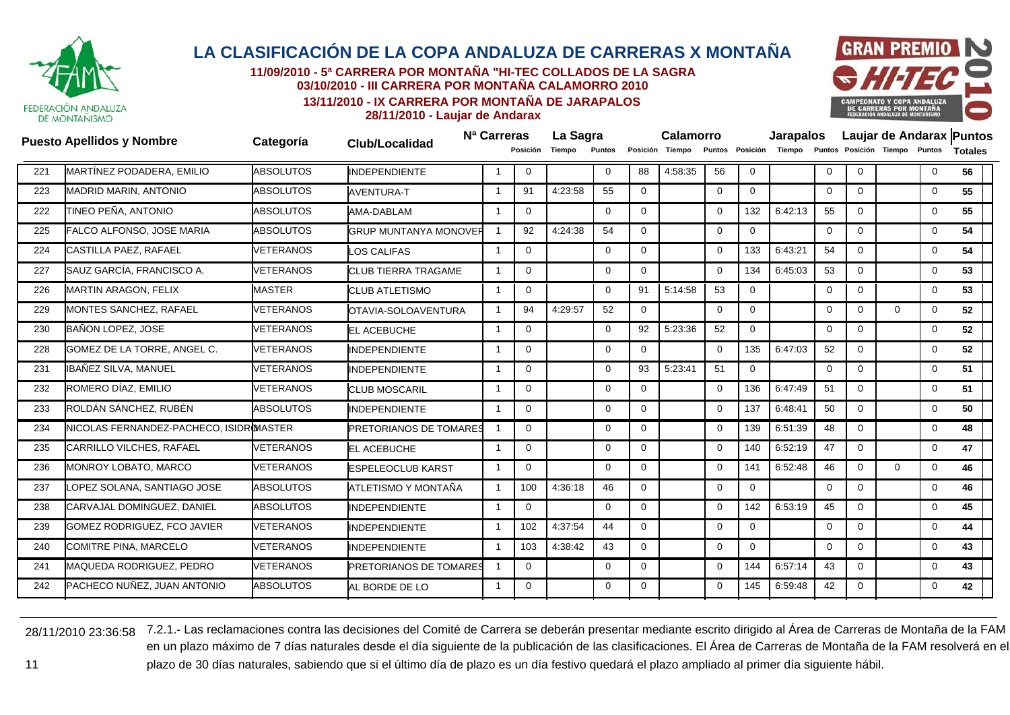

**11/09/2010 - 5ª CARRERA POR MONTAÑA "HI-TEC COLLADOS DE LA SAGRA03/10/2010 - III CARRERA POR MONTAÑA CALAMORRO 2010**

**13/11/2010 - IX CARRERA POR MONTAÑA DE JARAPALOS**



**28/11/2010 - Laujar de Andarax**

|     | <b>Puesto Apellidos y Nombre</b>        | Categoría        | <b>Club/Localidad</b>         | N <sup>a</sup> Carreras |             | La Sagra |             |              | <b>Calamorro</b> |             |              | <b>Jarapalos</b>       |                |              |                               |             | Laujar de Andarax Puntos |
|-----|-----------------------------------------|------------------|-------------------------------|-------------------------|-------------|----------|-------------|--------------|------------------|-------------|--------------|------------------------|----------------|--------------|-------------------------------|-------------|--------------------------|
|     |                                         |                  |                               |                         | Posición    | Tiempo   | Puntos      |              | Posición Tiempo  |             |              | Puntos Posición Tiempo |                |              | Puntos Posición Tiempo Puntos |             | <b>Totales</b>           |
| 221 | MARTÍNEZ PODADERA. EMILIO               | <b>ABSOLUTOS</b> | <b>INDEPENDIENTE</b>          | -1                      | $\Omega$    |          | $\Omega$    | 88           | 4:58:35          | 56          | $\Omega$     |                        | $\mathbf 0$    | $\Omega$     |                               | $\mathbf 0$ | 56                       |
| 223 | <b>MADRID MARIN, ANTONIO</b>            | <b>ABSOLUTOS</b> | <b>AVENTURA-T</b>             |                         | 91          | 4:23:58  | 55          | $\mathbf 0$  |                  | $\mathbf 0$ | $\mathbf 0$  |                        | $\mathbf{0}$   | $\Omega$     |                               | $\mathbf 0$ | 55                       |
| 222 | TINEO PEÑA. ANTONIO                     | <b>ABSOLUTOS</b> | AMA-DABLAM                    |                         | $\Omega$    |          | $\Omega$    | $\mathbf{0}$ |                  | $\Omega$    | 132          | 6:42:13                | 55             | $\Omega$     |                               | 0           | 55                       |
| 225 | FALCO ALFONSO, JOSE MARIA               | <b>ABSOLUTOS</b> | <b>GRUP MUNTANYA MONOVER</b>  |                         | 92          | 4:24:38  | 54          | $\Omega$     |                  | $\Omega$    | $\mathbf{0}$ |                        | $\mathbf 0$    | $\Omega$     |                               | 0           | 54                       |
| 224 | <b>CASTILLA PAEZ, RAFAEL</b>            | <b>VETERANOS</b> | <b>LOS CALIFAS</b>            | -1                      | $\Omega$    |          | $\Omega$    | $\Omega$     |                  | $\Omega$    | 133          | 6:43:21                | 54             | $\Omega$     |                               | $\mathbf 0$ | 54                       |
| 227 | SAUZ GARCÍA, FRANCISCO A.               | <b>VETERANOS</b> | <b>CLUB TIERRA TRAGAME</b>    | -1                      | $\Omega$    |          | $\Omega$    | $\mathbf 0$  |                  | $\Omega$    | 134          | 6:45:03                | 53             | $\mathbf 0$  |                               | 0           | 53                       |
| 226 | <b>MARTIN ARAGON, FELIX</b>             | <b>MASTER</b>    | <b>CLUB ATLETISMO</b>         | -1                      | $\Omega$    |          | $\Omega$    | 91           | 5:14:58          | 53          | $\Omega$     |                        | $\overline{0}$ | $\Omega$     |                               | $\mathbf 0$ | 53                       |
| 229 | <b>MONTES SANCHEZ, RAFAEL</b>           | <b>VETERANOS</b> | OTAVIA-SOLOAVENTURA           |                         | 94          | 4:29:57  | 52          | $\Omega$     |                  | $\Omega$    | $\mathbf 0$  |                        | $\mathbf 0$    | $\Omega$     | $\Omega$                      | 0           | 52                       |
| 230 | BAÑON LOPEZ, JOSE                       | <b>VETERANOS</b> | <b>EL ACEBUCHE</b>            | -1                      | $\mathbf 0$ |          | $\mathbf 0$ | 92           | 5:23:36          | 52          | $\mathbf 0$  |                        | $\mathbf{0}$   | $\Omega$     |                               | $\mathbf 0$ | 52                       |
| 228 | GOMEZ DE LA TORRE, ANGEL C.             | <b>VETERANOS</b> | <b>INDEPENDIENTE</b>          | -1                      | $\Omega$    |          | $\Omega$    | $\Omega$     |                  | $\Omega$    | 135          | 6:47:03                | 52             | $\Omega$     |                               | 0           | 52                       |
| 231 | IBAÑEZ SILVA, MANUEL                    | <b>VETERANOS</b> | <b>INDEPENDIENTE</b>          | -1                      | $\Omega$    |          | $\Omega$    | 93           | 5:23:41          | 51          | $\mathbf{0}$ |                        | $\mathbf 0$    | $\Omega$     |                               | 0           | 51                       |
| 232 | ROMERO DÍAZ, EMILIO                     | VETERANOS        | <b>CLUB MOSCARIL</b>          | $\overline{\mathbf{1}}$ | $\Omega$    |          | $\Omega$    | $\Omega$     |                  | $\Omega$    | 136          | 6:47:49                | 51             | $\Omega$     |                               | 0           | 51                       |
| 233 | ROLDÁN SÁNCHEZ, RUBÉN                   | <b>ABSOLUTOS</b> | <b>INDEPENDIENTE</b>          | -1                      | $\Omega$    |          | $\Omega$    | $\mathbf 0$  |                  | $\mathbf 0$ | 137          | 6:48:41                | 50             | $\mathbf{0}$ |                               | 0           | 50                       |
| 234 | NICOLAS FERNANDEZ-PACHECO, ISIDROMASTER |                  | <b>PRETORIANOS DE TOMARES</b> | $\overline{1}$          | $\Omega$    |          | $\Omega$    | $\Omega$     |                  | $\Omega$    | 139          | 6:51:39                | 48             | $\Omega$     |                               | $\mathbf 0$ | 48                       |
| 235 | CARRILLO VILCHES, RAFAEL                | <b>VETERANOS</b> | <b>EL ACEBUCHE</b>            | -1                      | $\Omega$    |          | $\Omega$    | $\Omega$     |                  | $\Omega$    | 140          | 6:52:19                | 47             | $\Omega$     |                               | 0           | 47                       |
| 236 | <b>MONROY LOBATO, MARCO</b>             | <b>VETERANOS</b> | <b>ESPELEOCLUB KARST</b>      | -1                      | $\Omega$    |          | $\Omega$    | $\Omega$     |                  | $\Omega$    | 141          | 6:52:48                | 46             | $\Omega$     | $\Omega$                      | $\mathbf 0$ | 46                       |
| 237 | OPEZ SOLANA, SANTIAGO JOSE              | <b>ABSOLUTOS</b> | ATLETISMO Y MONTAÑA           | -1                      | 100         | 4:36:18  | 46          | $\mathbf{0}$ |                  | $\Omega$    | $\mathbf{0}$ |                        | $\overline{0}$ | $\Omega$     |                               | 0           | 46                       |
| 238 | CARVAJAL DOMINGUEZ, DANIEL              | <b>ABSOLUTOS</b> | <b>INDEPENDIENTE</b>          | -1                      | 0           |          | $\Omega$    | 0            |                  | $\Omega$    | 142          | 6:53:19                | 45             | $\mathbf 0$  |                               | $\mathbf 0$ | 45                       |
| 239 | GOMEZ RODRIGUEZ, FCO JAVIER             | <b>VETERANOS</b> | <b>INDEPENDIENTE</b>          | -1                      | 102         | 4:37:54  | 44          | $\Omega$     |                  | $\Omega$    | $\mathbf{0}$ |                        | $\mathbf{0}$   | $\mathbf{0}$ |                               | $\mathbf 0$ | 44                       |
| 240 | COMITRE PINA, MARCELO                   | <b>VETERANOS</b> | <b>INDEPENDIENTE</b>          | -1                      | 103         | 4:38:42  | 43          | $\mathbf 0$  |                  | $\mathbf 0$ | $\mathbf 0$  |                        | $\mathbf 0$    | $\mathbf 0$  |                               | 0           | 43                       |
| 241 | MAQUEDA RODRIGUEZ, PEDRO                | <b>VETERANOS</b> | PRETORIANOS DE TOMARES        | $\overline{1}$          | $\Omega$    |          | $\Omega$    | $\mathbf 0$  |                  | $\Omega$    | 144          | 6:57:14                | 43             | $\Omega$     |                               | 0           | 43                       |
| 242 | PACHECO NUÑEZ, JUAN ANTONIO             | <b>ABSOLUTOS</b> | AL BORDE DE LO                |                         | $\Omega$    |          | $\Omega$    | $\Omega$     |                  | $\Omega$    | 145          | 6:59:48                | 42             | $\Omega$     |                               | 0           | 42                       |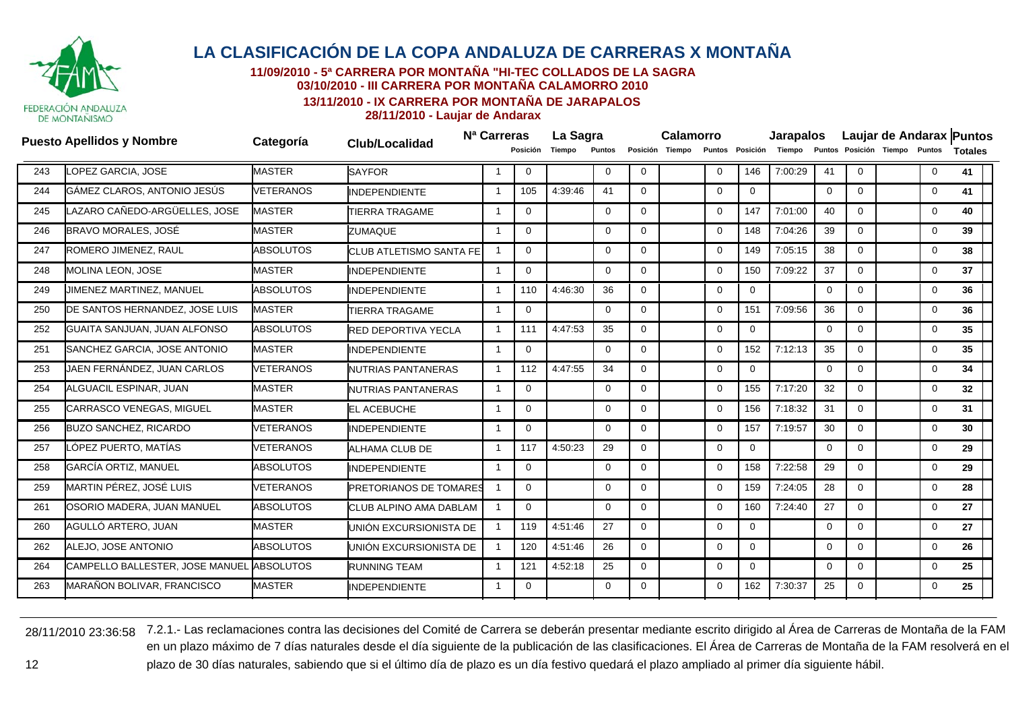

**11/09/2010 - 5ª CARRERA POR MONTAÑA "HI-TEC COLLADOS DE LA SAGRA**

**03/10/2010 - III CARRERA POR MONTAÑA CALAMORRO 2010**

**13/11/2010 - IX CARRERA POR MONTAÑA DE JARAPALOS**

**28/11/2010 - Laujar de Andarax**

|     | <b>Puesto Apellidos y Nombre</b> | Categoría        | <b>Club/Localidad</b>          | N <sup>a</sup> Carreras |              | La Sagra |               | <b>Calamorro</b> |                 |             | <b>Jarapalos</b> |         |             | Laujar de Andarax Puntos |                               |              |                 |
|-----|----------------------------------|------------------|--------------------------------|-------------------------|--------------|----------|---------------|------------------|-----------------|-------------|------------------|---------|-------------|--------------------------|-------------------------------|--------------|-----------------|
|     |                                  |                  |                                |                         | Posición     | Tiempo   | <b>Puntos</b> |                  | Posición Tiempo |             | Puntos Posición  | Tiempo  |             |                          | Puntos Posición Tiempo Puntos |              | <b>Totales</b>  |
| 243 | <b>LOPEZ GARCIA, JOSE</b>        | <b>MASTER</b>    | <b>SAYFOR</b>                  | -1                      | $\Omega$     |          | $\mathbf 0$   | $\Omega$         |                 | $\Omega$    | 146              | 7:00:29 | 41          | $\Omega$                 |                               | $\mathbf{0}$ | 41              |
| 244 | GÁMEZ CLAROS, ANTONIO JESÚS      | <b>VETERANOS</b> | <b>INDEPENDIENTE</b>           | -1                      | 105          | 4:39:46  | 41            | $\Omega$         |                 | $\mathbf 0$ | $\mathbf{0}$     |         | $\mathbf 0$ | $\Omega$                 |                               | $\mathbf 0$  | 41              |
| 245 | LAZARO CAÑEDO-ARGÜELLES. JOSE    | <b>MASTER</b>    | <b>TIERRA TRAGAME</b>          | -1                      | $\mathbf{0}$ |          | 0             | $\Omega$         |                 | 0           | 147              | 7:01:00 | 40          | $\mathbf 0$              |                               | $\mathbf{0}$ | 40              |
| 246 | BRAVO MORALES, JOSÉ              | <b>MASTER</b>    | <b>ZUMAQUE</b>                 | -1                      | $\mathbf{0}$ |          | 0             | 0                |                 | $\Omega$    | 148              | 7:04:26 | 39          | $\overline{0}$           |                               | $\mathbf{0}$ | 39              |
| 247 | ROMERO JIMENEZ, RAUL             | <b>ABSOLUTOS</b> | <b>CLUB ATLETISMO SANTA FE</b> | -1                      | $\Omega$     |          | $\Omega$      | $\Omega$         |                 | $\Omega$    | 149              | 7:05:15 | 38          | $\Omega$                 |                               | $\mathbf{0}$ | 38              |
| 248 | <b>MOLINA LEON. JOSE</b>         | <b>MASTER</b>    | <b>INDEPENDIENTE</b>           | -1                      | $\mathbf{0}$ |          | $\Omega$      | $\Omega$         |                 | $\Omega$    | 150              | 7:09:22 | 37          | $\overline{0}$           |                               | $\mathbf{0}$ | 37              |
| 249 | JIMENEZ MARTINEZ, MANUEL         | <b>ABSOLUTOS</b> | <b>INDEPENDIENTE</b>           | -1                      | 110          | 4:46:30  | 36            | $\Omega$         |                 | $\Omega$    | $\mathbf{0}$     |         | $\mathbf 0$ | $\Omega$                 |                               | $\mathbf 0$  | 36              |
| 250 | DE SANTOS HERNANDEZ, JOSE LUIS   | <b>MASTER</b>    | <b>TIERRA TRAGAME</b>          | -1                      | $\mathbf 0$  |          | $\Omega$      | $\Omega$         |                 | $\Omega$    | 151              | 7:09:56 | 36          | $\Omega$                 |                               | $\mathbf 0$  | 36              |
| 252 | GUAITA SANJUAN, JUAN ALFONSO     | <b>ABSOLUTOS</b> | <b>RED DEPORTIVA YECLA</b>     | - 1                     | 111          | 4:47:53  | 35            | $\Omega$         |                 | $\Omega$    | $\mathbf{0}$     |         | $\mathbf 0$ | $\Omega$                 |                               | $\mathbf{0}$ | 35              |
| 251 | SANCHEZ GARCIA, JOSE ANTONIO     | <b>MASTER</b>    | <b>INDEPENDIENTE</b>           | -1                      | $\mathbf 0$  |          | $\mathbf 0$   | $\Omega$         |                 | $\Omega$    | 152              | 7:12:13 | 35          | $\Omega$                 |                               | $\mathbf 0$  | 35              |
| 253 | JAEN FERNÁNDEZ, JUAN CARLOS      | <b>VETERANOS</b> | <b>NUTRIAS PANTANERAS</b>      | -1                      | 112          | 4:47:55  | 34            | $\Omega$         |                 | $\mathbf 0$ | $\overline{0}$   |         | 0           | $\mathbf 0$              |                               | $\mathbf{0}$ | 34              |
| 254 | ALGUACIL ESPINAR, JUAN           | <b>MASTER</b>    | NUTRIAS PANTANERAS             | -1                      | $\mathbf 0$  |          | 0             | $\Omega$         |                 | $\Omega$    | 155              | 7:17:20 | 32          | $\mathbf 0$              |                               | $\mathbf{0}$ | 32 <sub>2</sub> |
| 255 | <b>CARRASCO VENEGAS, MIGUEL</b>  | <b>MASTER</b>    | <b>EL ACEBUCHE</b>             | 1                       | $\Omega$     |          | $\Omega$      | $\Omega$         |                 | $\Omega$    | 156              | 7:18:32 | 31          | $\mathbf 0$              |                               | 0            | 31              |
| 256 | <b>BUZO SANCHEZ, RICARDO</b>     | <b>VETERANOS</b> | <b>INDEPENDIENTE</b>           | -1                      | $\Omega$     |          | $\Omega$      | $\Omega$         |                 | $\Omega$    | 157              | 7:19:57 | 30          | $\Omega$                 |                               | $\mathbf{0}$ | 30              |
| 257 | LÓPEZ PUERTO. MATÍAS             | VETERANOS        | <b>ALHAMA CLUB DE</b>          | -1                      | 117          | 4.50:23  | 29            | $\Omega$         |                 | $\Omega$    | $\mathbf{0}$     |         | $\mathbf 0$ | $\Omega$                 |                               | $\mathbf 0$  | 29              |
| 258 | GARCÍA ORTIZ, MANUEL             | <b>ABSOLUTOS</b> | <b>INDEPENDIENTE</b>           | -1                      | $\Omega$     |          | $\Omega$      | $\Omega$         |                 | $\Omega$    | 158              | 7:22:58 | 29          | $\Omega$                 |                               | $\mathbf{0}$ | 29              |
| 259 | MARTIN PÉREZ, JOSÉ LUIS          | VETERANOS        | <b>PRETORIANOS DE TOMARES</b>  |                         | $\Omega$     |          | $\Omega$      | $\Omega$         |                 | $\Omega$    | 159              | 7:24:05 | 28          | $\Omega$                 |                               | $\mathbf 0$  | 28              |
| 261 | OSORIO MADERA, JUAN MANUEL       | <b>ABSOLUTOS</b> | CLUB ALPINO AMA DABLAM         |                         | $\mathbf{0}$ |          | $\mathbf 0$   | 0                |                 | $\Omega$    | 160              | 7:24:40 | 27          | $\Omega$                 |                               | $\mathbf 0$  | 27              |
| 260 | AGULLÓ ARTERO, JUAN              | <b>MASTER</b>    | UNIÓN EXCURSIONISTA DE         | -1                      | 119          | 4:51:46  | 27            | $\Omega$         |                 | 0           | $\Omega$         |         | 0           | $\mathbf 0$              |                               | $\mathbf 0$  | 27              |
| 262 | ALEJO. JOSE ANTONIO              | <b>ABSOLUTOS</b> | UNIÓN EXCURSIONISTA DE         | -1                      | 120          | 4:51:46  | 26            | 0                |                 | $\Omega$    | $\mathbf 0$      |         | 0           | $\overline{0}$           |                               | $\mathbf{0}$ | 26              |
| 264 | CAMPELLO BALLESTER, JOSE MANUEL  | <b>ABSOLUTOS</b> | <b>RUNNING TEAM</b>            | -1                      | 121          | 4:52:18  | 25            | $\Omega$         |                 | $\Omega$    | $\Omega$         |         | $\Omega$    | $\Omega$                 |                               | $\mathbf{0}$ | 25              |
| 263 | MARAÑON BOLIVAR, FRANCISCO       | <b>MASTER</b>    | <b>INDEPENDIENTE</b>           |                         | 0            |          | $\Omega$      | $\Omega$         |                 | $\Omega$    | 162              | 7:30:37 | 25          | $\overline{0}$           |                               | $\mathbf{0}$ | 25              |
|     |                                  |                  |                                |                         |              |          |               |                  |                 |             |                  |         |             |                          |                               |              |                 |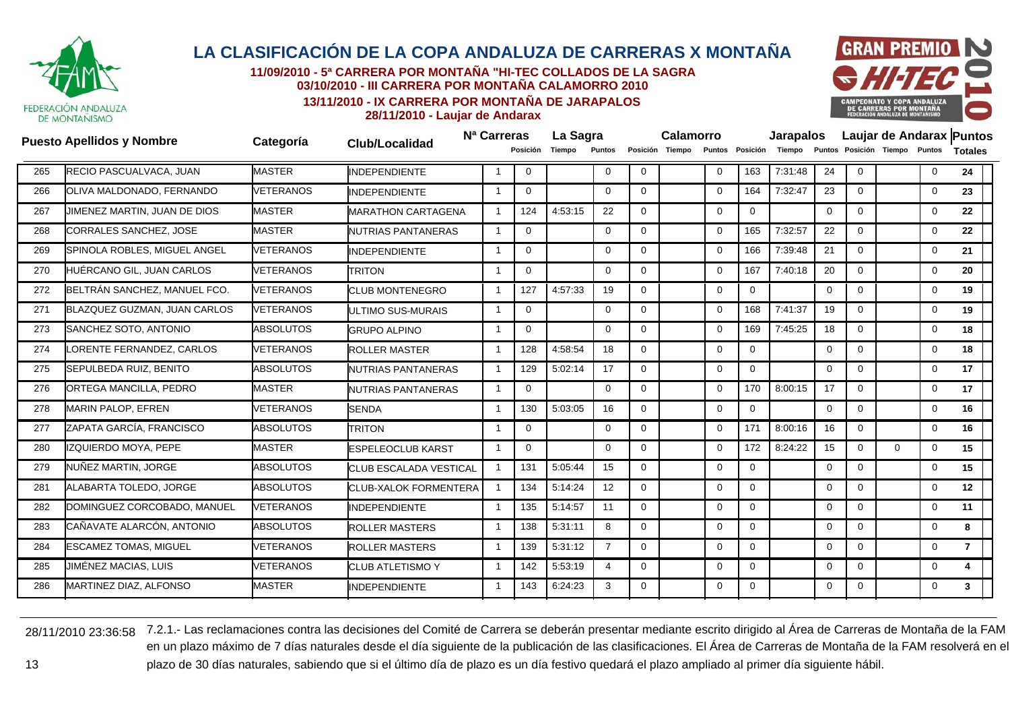

**11/09/2010 - 5ª CARRERA POR MONTAÑA "HI-TEC COLLADOS DE LA SAGRA03/10/2010 - III CARRERA POR MONTAÑA CALAMORRO 2010**

**13/11/2010 - IX CARRERA POR MONTAÑA DE JARAPALOS**



**28/11/2010 - Laujar de Andarax**

|                              |                                                                                                                                                                                                                                                                                                                                                                                                                                                                                                                                        |                           |                         |                                                               | Tiempo                              |                |                    |                 |                  | Tiempo  |                 |                  |             |              | <b>Totales</b>                |                          |
|------------------------------|----------------------------------------------------------------------------------------------------------------------------------------------------------------------------------------------------------------------------------------------------------------------------------------------------------------------------------------------------------------------------------------------------------------------------------------------------------------------------------------------------------------------------------------|---------------------------|-------------------------|---------------------------------------------------------------|-------------------------------------|----------------|--------------------|-----------------|------------------|---------|-----------------|------------------|-------------|--------------|-------------------------------|--------------------------|
|                              | <b>MASTER</b>                                                                                                                                                                                                                                                                                                                                                                                                                                                                                                                          | <b>INDEPENDIENTE</b>      |                         | 0                                                             |                                     | $\Omega$       | $\Omega$           | $\Omega$        | 163              | 7:31:48 | 24              | $\Omega$         |             | $\mathbf{0}$ | 24                            |                          |
|                              | VETERANOS                                                                                                                                                                                                                                                                                                                                                                                                                                                                                                                              | <b>INDEPENDIENTE</b>      |                         | $\Omega$                                                      |                                     | $\Omega$       | $\Omega$           | $\Omega$        | 164              | 7:32:47 | 23              | $\Omega$         |             | 0            | 23                            |                          |
| JIMENEZ MARTIN, JUAN DE DIOS | <b>MASTER</b>                                                                                                                                                                                                                                                                                                                                                                                                                                                                                                                          | <b>MARATHON CARTAGENA</b> | -1                      | 124                                                           | 4:53:15                             | 22             | $\mathbf{0}$       | $\mathbf 0$     | $\overline{0}$   |         | $\overline{0}$  | $\Omega$         |             | 0            | 22                            |                          |
|                              | <b>MASTER</b>                                                                                                                                                                                                                                                                                                                                                                                                                                                                                                                          | NUTRIAS PANTANERAS        | $\mathbf{1}$            | $\mathbf{0}$                                                  |                                     | $\Omega$       | $\overline{0}$     | $\mathbf 0$     | 165              | 7:32:57 | 22              | $\Omega$         |             | 0            | 22                            |                          |
|                              | <b>VETERANOS</b>                                                                                                                                                                                                                                                                                                                                                                                                                                                                                                                       | <b>INDEPENDIENTE</b>      |                         | $\Omega$                                                      |                                     | $\Omega$       | $\Omega$           | $\Omega$        | 166              | 7:39:48 | 21              | $\Omega$         |             | 0            | 21                            |                          |
| HUÉRCANO GIL, JUAN CARLOS    | <b>VETERANOS</b>                                                                                                                                                                                                                                                                                                                                                                                                                                                                                                                       | <b>TRITON</b>             | $\overline{\mathbf{1}}$ | $\mathbf{0}$                                                  |                                     | $\Omega$       | $\mathbf 0$        | $\Omega$        | 167              | 7:40:18 | 20              | $\mathbf 0$      |             | 0            | 20                            |                          |
|                              | <b>VETERANOS</b>                                                                                                                                                                                                                                                                                                                                                                                                                                                                                                                       | <b>CLUB MONTENEGRO</b>    | -1                      | 127                                                           | 4:57:33                             | 19             | $\Omega$           | $\mathbf 0$     | $\mathbf{0}$     |         | $\Omega$        | $\mathbf{0}$     |             | 0            | 19                            |                          |
|                              | <b>VETERANOS</b>                                                                                                                                                                                                                                                                                                                                                                                                                                                                                                                       | ULTIMO SUS-MURAIS         |                         | $\Omega$                                                      |                                     | $\Omega$       | $\Omega$           | $\Omega$        | 168              | 7:41:37 | 19              | $\Omega$         |             | 0            | 19                            |                          |
|                              | <b>ABSOLUTOS</b>                                                                                                                                                                                                                                                                                                                                                                                                                                                                                                                       | <b>GRUPO ALPINO</b>       | $\overline{\mathbf{1}}$ | $\mathbf 0$                                                   |                                     | $\Omega$       | $\Omega$           | $\Omega$        | 169              | 7:45:25 | 18              | $\Omega$         |             | $\mathbf 0$  | 18                            |                          |
| LORENTE FERNANDEZ, CARLOS    | <b>VETERANOS</b>                                                                                                                                                                                                                                                                                                                                                                                                                                                                                                                       | <b>ROLLER MASTER</b>      | $\overline{1}$          | 128                                                           | 4:58:54                             | 18             | $\overline{0}$     | $\mathbf 0$     | $\Omega$         |         | $\overline{0}$  | $\Omega$         |             | 0            | 18                            |                          |
|                              | <b>ABSOLUTOS</b>                                                                                                                                                                                                                                                                                                                                                                                                                                                                                                                       | NUTRIAS PANTANERAS        | -1                      | 129                                                           | 5:02:14                             | 17             | $\overline{0}$     | $\mathbf 0$     | $\overline{0}$   |         | $\mathbf{0}$    | $\Omega$         |             | 0            | 17                            |                          |
|                              | <b>MASTER</b>                                                                                                                                                                                                                                                                                                                                                                                                                                                                                                                          | <b>NUTRIAS PANTANERAS</b> |                         | $\Omega$                                                      |                                     | $\Omega$       | $\Omega$           | $\Omega$        | 170              | 8:00:15 | 17              | $\Omega$         |             | 0            | 17                            |                          |
|                              | <b>VETERANOS</b>                                                                                                                                                                                                                                                                                                                                                                                                                                                                                                                       | <b>SENDA</b>              | $\overline{\mathbf{1}}$ | 130                                                           | 5:03:05                             | 16             | $\mathbf 0$        | $\mathbf 0$     | $\mathbf{0}$     |         | $\mathbf 0$     | $\mathbf 0$      |             | $\mathbf 0$  | 16                            |                          |
|                              | <b>ABSOLUTOS</b>                                                                                                                                                                                                                                                                                                                                                                                                                                                                                                                       | <b>TRITON</b>             | $\overline{\mathbf{1}}$ | $\Omega$                                                      |                                     | $\Omega$       | $\Omega$           | $\Omega$        | 171              | 8:00:16 | 16              | $\mathbf{0}$     |             | $\mathbf 0$  | 16                            |                          |
| <b>IZQUIERDO MOYA, PEPE</b>  | <b>MASTER</b>                                                                                                                                                                                                                                                                                                                                                                                                                                                                                                                          | <b>ESPELEOCLUB KARST</b>  | -1                      | $\mathbf 0$                                                   |                                     | $\Omega$       | $\mathbf 0$        | $\Omega$        | 172              | 8:24:22 | 15              | $\mathbf 0$      | $\mathbf 0$ | 0            | 15                            |                          |
|                              | <b>ABSOLUTOS</b>                                                                                                                                                                                                                                                                                                                                                                                                                                                                                                                       |                           | $\overline{1}$          | 131                                                           | 5:05:44                             | 15             | $\Omega$           | $\mathbf 0$     | $\Omega$         |         | $\mathbf{0}$    | $\Omega$         |             | $\mathbf 0$  | 15                            |                          |
|                              | <b>ABSOLUTOS</b>                                                                                                                                                                                                                                                                                                                                                                                                                                                                                                                       |                           |                         | 134                                                           | 5:14:24                             | 12             | $\Omega$           | $\Omega$        | $\Omega$         |         | $\overline{0}$  | $\Omega$         |             | $\mathbf 0$  | 12 <sup>12</sup>              |                          |
|                              | <b>VETERANOS</b>                                                                                                                                                                                                                                                                                                                                                                                                                                                                                                                       | <b>INDEPENDIENTE</b>      | -1                      | 135                                                           | 5:14:57                             | 11             | $\Omega$           | $\Omega$        | $\mathbf{0}$     |         | $\mathbf 0$     | $\Omega$         |             | $\mathbf 0$  | 11                            |                          |
|                              | <b>ABSOLUTOS</b>                                                                                                                                                                                                                                                                                                                                                                                                                                                                                                                       | <b>ROLLER MASTERS</b>     |                         | 138                                                           | 5:31:11                             | 8              | $\Omega$           | $\Omega$        | $\Omega$         |         | $\mathbf 0$     | $\Omega$         |             | $\mathbf 0$  | 8                             |                          |
|                              | VETERANOS                                                                                                                                                                                                                                                                                                                                                                                                                                                                                                                              | <b>ROLLER MASTERS</b>     | -1                      | 139                                                           | 5:31:12                             | $\overline{7}$ | $\mathbf 0$        | $\mathbf 0$     | $\mathbf{0}$     |         | $\mathbf 0$     | $\mathbf 0$      |             | 0            | $\overline{7}$                |                          |
| JIMÉNEZ MACIAS, LUIS         | VETERANOS                                                                                                                                                                                                                                                                                                                                                                                                                                                                                                                              | <b>CLUB ATLETISMO Y</b>   | -1                      | 142                                                           | 5:53:19                             | 4              | $\Omega$           | $\Omega$        | $\Omega$         |         | $\mathbf 0$     | $\Omega$         |             | 0            | 4                             |                          |
|                              | <b>MASTER</b>                                                                                                                                                                                                                                                                                                                                                                                                                                                                                                                          | <b>INDEPENDIENTE</b>      |                         | 143                                                           | 6:24:23                             | 3              | $\Omega$           | $\Omega$        | $\Omega$         |         | $\mathbf 0$     | $\Omega$         |             | 0            | 3                             |                          |
|                              | <b>Puesto Apellidos y Nombre</b><br>RECIO PASCUALVACA, JUAN<br>OLIVA MALDONADO, FERNANDO<br>CORRALES SANCHEZ, JOSE<br>SPINOLA ROBLES, MIGUEL ANGEL<br>BELTRÁN SANCHEZ, MANUEL FCO.<br>BLAZQUEZ GUZMAN, JUAN CARLOS<br>SANCHEZ SOTO, ANTONIO<br>SEPULBEDA RUIZ, BENITO<br><b>ORTEGA MANCILLA, PEDRO</b><br><b>MARIN PALOP, EFREN</b><br>ZAPATA GARCÍA, FRANCISCO<br>NUÑEZ MARTIN, JORGE<br>ALABARTA TOLEDO, JORGE<br>DOMINGUEZ CORCOBADO, MANUEL<br>CAÑAVATE ALARCÓN, ANTONIO<br><b>ESCAMEZ TOMAS, MIGUEL</b><br>MARTINEZ DIAZ, ALFONSO | Categoría                 | <b>Club/Localidad</b>   | <b>CLUB ESCALADA VESTICAL</b><br><b>CLUB-XALOK FORMENTERA</b> | N <sup>a</sup> Carreras<br>Posición |                | La Sagra<br>Puntos | Posición Tiempo | <b>Calamorro</b> |         | Puntos Posición | <b>Jarapalos</b> |             |              | Puntos Posición Tiempo Puntos | Laujar de Andarax Puntos |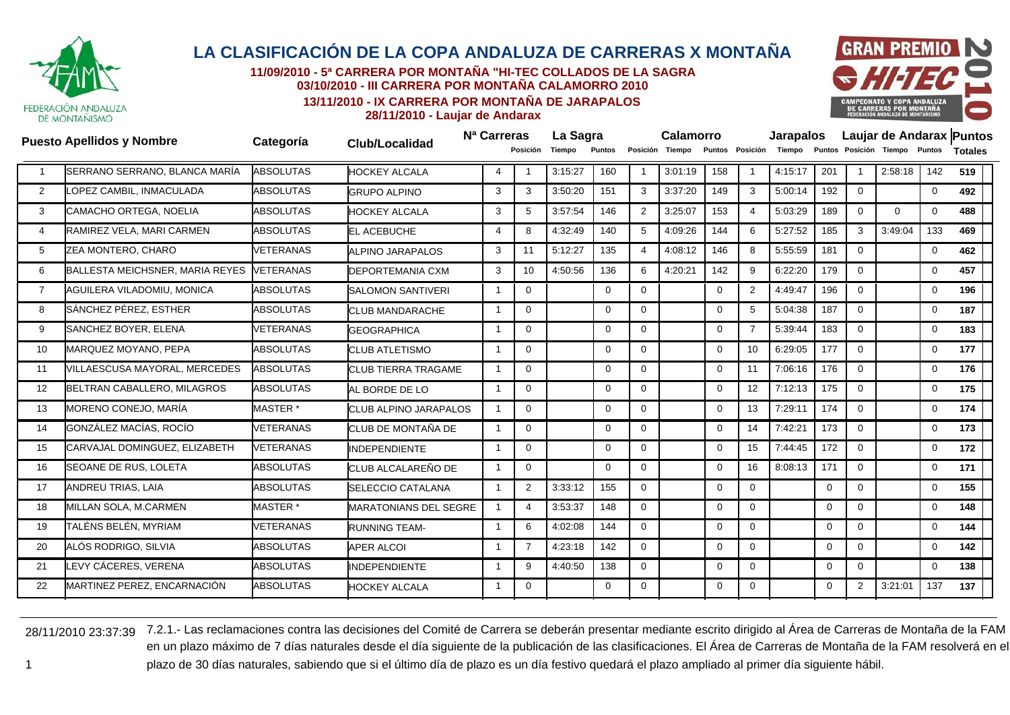

**11/09/2010 - 5ª CARRERA POR MONTAÑA "HI-TEC COLLADOS DE LA SAGRA03/10/2010 - III CARRERA POR MONTAÑA CALAMORRO 2010**

**13/11/2010 - IX CARRERA POR MONTAÑA DE JARAPALOS**



**28/11/2010 - Laujar de Andarax**

|                | <b>Puesto Apellidos y Nombre</b> | Categoría           |                              | N <sup>a</sup> Carreras |                 | La Sagra |             |                | Calamorro       |             |                 | Jarapalos |              |                         |                               |             | Laujar de Andarax Puntos |
|----------------|----------------------------------|---------------------|------------------------------|-------------------------|-----------------|----------|-------------|----------------|-----------------|-------------|-----------------|-----------|--------------|-------------------------|-------------------------------|-------------|--------------------------|
|                |                                  |                     | Club/Localidad               |                         | Posición        | Tiempo   | Puntos      |                | Posición Tiempo |             | Puntos Posición | Tiempo    |              |                         | Puntos Posición Tiempo Puntos |             | <b>Totales</b>           |
|                | SERRANO SERRANO, BLANCA MARÍA    | <b>ABSOLUTAS</b>    | <b>HOCKEY ALCALA</b>         | $\overline{4}$          |                 | 3:15:27  | 160         | -1             | 3:01:19         | 158         | $\mathbf{1}$    | 4:15:17   | 201          | $\overline{\mathbf{1}}$ | 2:58:18                       | 142         | 519                      |
| 2              | OPEZ CAMBIL. INMACULADA          | <b>ABSOLUTAS</b>    | <b>GRUPO ALPINO</b>          | 3                       | 3               | 3:50:20  | 151         | 3              | 3:37:20         | 149         | 3               | 5:00:14   | 192          | $\mathbf 0$             |                               | $\mathbf 0$ | 492                      |
| 3              | CAMACHO ORTEGA, NOELIA           | <b>ABSOLUTAS</b>    | <b>HOCKEY ALCALA</b>         | 3                       | 5               | 3:57:54  | 146         | 2              | 3:25:07         | 153         | $\overline{4}$  | 5:03:29   | 189          | $\Omega$                | $\Omega$                      | $\mathbf 0$ | 488                      |
| 4              | RAMIREZ VELA, MARI CARMEN        | <b>ABSOLUTAS</b>    | <b>EL ACEBUCHE</b>           | $\overline{4}$          | 8               | 4:32:49  | 140         | 5              | 4:09:26         | 144         | 6               | 5:27:52   | 185          | 3                       | 3:49:04                       | 133         | 469                      |
| 5              | ZEA MONTERO, CHARO               | <b>VETERANAS</b>    | <b>ALPINO JARAPALOS</b>      | 3                       | 11              | 5:12:27  | 135         | 4              | 4:08:12         | 146         | 8               | 5:55:59   | 181          | $\mathbf 0$             |                               | 0           | 462                      |
| 6              | BALLESTA MEICHSNER, MARIA REYES  | <b>VETERANAS</b>    | DEPORTEMANIA CXM             | 3                       | 10 <sup>°</sup> | 4:50:56  | 136         | 6              | 4:20:21         | 142         | 9               | 6:22:20   | 179          | $\Omega$                |                               | $\mathbf 0$ | 457                      |
| $\overline{7}$ | AGUILERA VILADOMIU, MONICA       | <b>ABSOLUTAS</b>    | <b>SALOMON SANTIVERI</b>     | $\overline{\mathbf{1}}$ | 0               |          | $\Omega$    | $\Omega$       |                 | $\Omega$    | 2               | 4:49:47   | 196          | $\mathbf 0$             |                               | 0           | 196                      |
| 8              | SÁNCHEZ PÉREZ. ESTHER            | <b>ABSOLUTAS</b>    | <b>CLUB MANDARACHE</b>       | $\mathbf{1}$            | $\Omega$        |          | $\Omega$    | $\Omega$       |                 | $\Omega$    | 5               | 5:04:38   | 187          | $\Omega$                |                               | $\mathbf 0$ | 187                      |
| 9              | SANCHEZ BOYER, ELENA             | <b>VETERANAS</b>    | <b>GEOGRAPHICA</b>           |                         | $\Omega$        |          | $\Omega$    | $\Omega$       |                 | $\Omega$    | $\overline{7}$  | 5:39:44   | 183          | $\Omega$                |                               | $\mathbf 0$ | 183                      |
| 10             | MARQUEZ MOYANO, PEPA             | <b>ABSOLUTAS</b>    | <b>CLUB ATLETISMO</b>        | $\overline{\mathbf{1}}$ | $\Omega$        |          | 0           | $\Omega$       |                 | $\Omega$    | 10              | 6:29:05   | 177          | $\Omega$                |                               | 0           | 177                      |
| 11             | VILLAESCUSA MAYORAL, MERCEDES    | <b>ABSOLUTAS</b>    | <b>CLUB TIERRA TRAGAME</b>   | -1                      | $\Omega$        |          | $\Omega$    | $\Omega$       |                 | $\Omega$    | 11              | 7:06:16   | 176          | $\Omega$                |                               | 0           | 176                      |
| 12             | BELTRAN CABALLERO, MILAGROS      | <b>ABSOLUTAS</b>    | AL BORDE DE LO               | $\mathbf{1}$            | $\Omega$        |          | $\mathbf 0$ | $\Omega$       |                 | $\mathbf 0$ | 12 <sup>2</sup> | 7:12:13   | 175          | $\Omega$                |                               | 0           | 175                      |
| 13             | MORENO CONEJO, MARÍA             | MASTER *            | <b>CLUB ALPINO JARAPALOS</b> |                         | $\overline{0}$  |          | 0           | $\overline{0}$ |                 | $\mathbf 0$ | 13              | 7:29:11   | 174          | $\mathbf{0}$            |                               | 0           | 174                      |
| 14             | GONZÁLEZ MACÍAS. ROCÍO           | <b>VETERANAS</b>    | CLUB DE MONTAÑA DE           | $\overline{\mathbf{1}}$ | $\Omega$        |          | $\Omega$    | $\Omega$       |                 | $\Omega$    | 14              | 7:42:21   | 173          | $\Omega$                |                               | $\mathbf 0$ | 173                      |
| 15             | CARVAJAL DOMINGUEZ, ELIZABETH    | <b>VETERANAS</b>    | <b>INDEPENDIENTE</b>         | $\overline{1}$          | $\Omega$        |          | $\mathbf 0$ | $\Omega$       |                 | $\mathbf 0$ | 15              | 7:44:45   | 172          | $\mathbf 0$             |                               | $\mathbf 0$ | 172                      |
| 16             | SEOANE DE RUS. LOLETA            | <b>ABSOLUTAS</b>    | CLUB ALCALAREÑO DE           | -1                      | $\overline{0}$  |          | $\Omega$    | $\mathbf{0}$   |                 | $\Omega$    | 16              | 8:08:13   | 171          | $\Omega$                |                               | $\mathbf 0$ | 171                      |
| 17             | ANDREU TRIAS, LAIA               | <b>ABSOLUTAS</b>    | SELECCIO CATALANA            |                         | 2               | 3:33:12  | 155         | $\Omega$       |                 | $\Omega$    | $\Omega$        |           | $\mathbf 0$  | $\Omega$                |                               | 0           | 155                      |
| 18             | MILLAN SOLA, M.CARMEN            | MASTER <sup>*</sup> | <b>MARATONIANS DEL SEGRE</b> | -1                      | $\overline{4}$  | 3:53:37  | 148         | $\Omega$       |                 | $\Omega$    | $\Omega$        |           | $\mathbf 0$  | $\Omega$                |                               | 0           | 148                      |
| 19             | TALÉNS BELÉN, MYRIAM             | <b>VETERANAS</b>    | <b>RUNNING TEAM-</b>         | -1                      | 6               | 4:02:08  | 144         | $\overline{0}$ |                 | $\mathbf 0$ | $\overline{0}$  |           | $\mathbf 0$  | $\mathbf 0$             |                               | $\mathbf 0$ | 144                      |
| 20             | ALÓS RODRIGO, SILVIA             | <b>ABSOLUTAS</b>    | <b>APER ALCOI</b>            |                         | $\overline{7}$  | 4:23:18  | 142         | $\overline{0}$ |                 | $\Omega$    | $\overline{0}$  |           | $\mathbf{0}$ | $\mathbf{0}$            |                               | $\mathbf 0$ | 142                      |
| 21             | LEVY CÁCERES, VERENA             | <b>ABSOLUTAS</b>    | <b>INDEPENDIENTE</b>         |                         | 9               | 4:40:50  | 138         | $\overline{0}$ |                 | $\Omega$    | $\overline{0}$  |           | 0            | $\mathbf 0$             |                               | $\mathbf 0$ | 138                      |
| 22             | MARTINEZ PEREZ, ENCARNACIÓN      | <b>ABSOLUTAS</b>    | <b>HOCKEY ALCALA</b>         |                         | $\Omega$        |          | $\Omega$    | $\Omega$       |                 | $\Omega$    | $\overline{0}$  |           | $\mathbf 0$  | 2                       | 3:21:01                       | 137         | 137                      |
|                |                                  |                     |                              |                         |                 |          |             |                |                 |             |                 |           |              |                         |                               |             |                          |